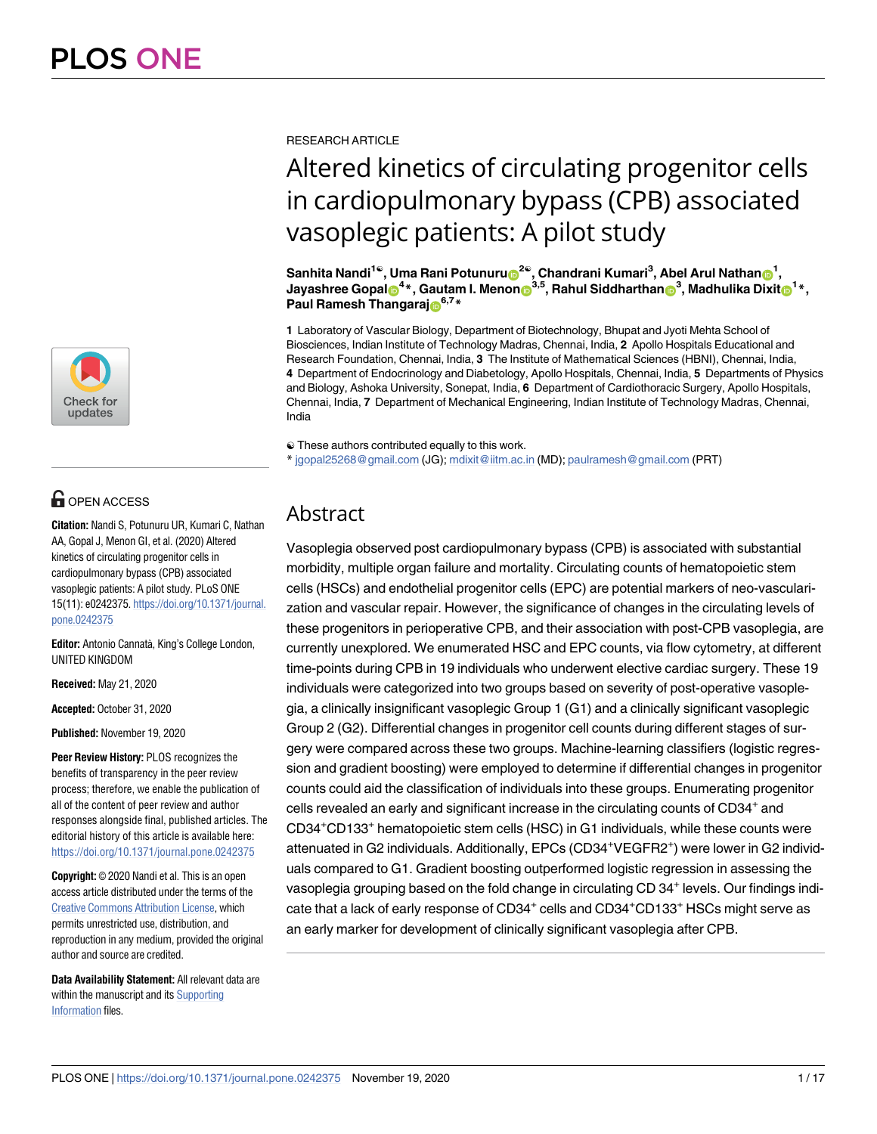

## **OPEN ACCESS**

**Citation:** Nandi S, Potunuru UR, Kumari C, Nathan AA, Gopal J, Menon GI, et al. (2020) Altered kinetics of circulating progenitor cells in cardiopulmonary bypass (CPB) associated vasoplegic patients: A pilot study. PLoS ONE 15(11): e0242375. [https://doi.org/10.1371/journal.](https://doi.org/10.1371/journal.pone.0242375) [pone.0242375](https://doi.org/10.1371/journal.pone.0242375)

**Editor:** Antonio Cannatà, King's College London, UNITED KINGDOM

**Received:** May 21, 2020

**Accepted:** October 31, 2020

**Published:** November 19, 2020

**Peer Review History:** PLOS recognizes the benefits of transparency in the peer review process; therefore, we enable the publication of all of the content of peer review and author responses alongside final, published articles. The editorial history of this article is available here: <https://doi.org/10.1371/journal.pone.0242375>

**Copyright:** © 2020 Nandi et al. This is an open access article distributed under the terms of the [Creative Commons Attribution License,](http://creativecommons.org/licenses/by/4.0/) which permits unrestricted use, distribution, and reproduction in any medium, provided the original author and source are credited.

**Data Availability Statement:** All relevant data are within the manuscript and its [Supporting](#page-13-0) [Information](#page-13-0) files.

RESEARCH ARTICLE

# Altered kinetics of circulating progenitor cells in cardiopulmonary bypass (CPB) associated vasoplegic patients: A pilot study

 $\mathsf{Sanhita\ Nandi^{1@}}, \mathsf{Uma\ Rani\ Potunuru^@}^{2@}, \mathsf{Chandrani\ Kumkini{Kumari^3}, \mathsf{Abel\ Arul\ Nathan^@}\mathsf{I},$  $\bm{I}$  Jayashree Gopal $\bm{\Theta}^{4*}$ , Gautam I. Menon $\bm{\Theta}^{3,5}$ , Rahul Siddharthan $\bm{\Theta}^{3}$ , Madhulika Dixit $\bm{\Theta}^{1*}$ , **Paul Ramesh Thangaraj**<sup>6,7</sup>\*

**1** Laboratory of Vascular Biology, Department of Biotechnology, Bhupat and Jyoti Mehta School of Biosciences, Indian Institute of Technology Madras, Chennai, India, **2** Apollo Hospitals Educational and Research Foundation, Chennai, India, **3** The Institute of Mathematical Sciences (HBNI), Chennai, India, **4** Department of Endocrinology and Diabetology, Apollo Hospitals, Chennai, India, **5** Departments of Physics and Biology, Ashoka University, Sonepat, India, **6** Department of Cardiothoracic Surgery, Apollo Hospitals, Chennai, India, **7** Department of Mechanical Engineering, Indian Institute of Technology Madras, Chennai, India

☯ These authors contributed equally to this work.

\* jgopal25268@gmail.com (JG); mdixit@iitm.ac.in (MD); paulramesh@gmail.com (PRT)

## Abstract

Vasoplegia observed post cardiopulmonary bypass (CPB) is associated with substantial morbidity, multiple organ failure and mortality. Circulating counts of hematopoietic stem cells (HSCs) and endothelial progenitor cells (EPC) are potential markers of neo-vascularization and vascular repair. However, the significance of changes in the circulating levels of these progenitors in perioperative CPB, and their association with post-CPB vasoplegia, are currently unexplored. We enumerated HSC and EPC counts, via flow cytometry, at different time-points during CPB in 19 individuals who underwent elective cardiac surgery. These 19 individuals were categorized into two groups based on severity of post-operative vasoplegia, a clinically insignificant vasoplegic Group 1 (G1) and a clinically significant vasoplegic Group 2 (G2). Differential changes in progenitor cell counts during different stages of surgery were compared across these two groups. Machine-learning classifiers (logistic regression and gradient boosting) were employed to determine if differential changes in progenitor counts could aid the classification of individuals into these groups. Enumerating progenitor cells revealed an early and significant increase in the circulating counts of CD34<sup>+</sup> and CD34+CD133<sup>+</sup> hematopoietic stem cells (HSC) in G1 individuals, while these counts were attenuated in G2 individuals. Additionally, EPCs (CD34<sup>+</sup>VEGFR2<sup>+</sup>) were lower in G2 individuals compared to G1. Gradient boosting outperformed logistic regression in assessing the vasoplegia grouping based on the fold change in circulating CD 34<sup>+</sup> levels. Our findings indicate that a lack of early response of  $CD34^+$  cells and  $CD34^+$ CD133 $^+$  HSCs might serve as an early marker for development of clinically significant vasoplegia after CPB.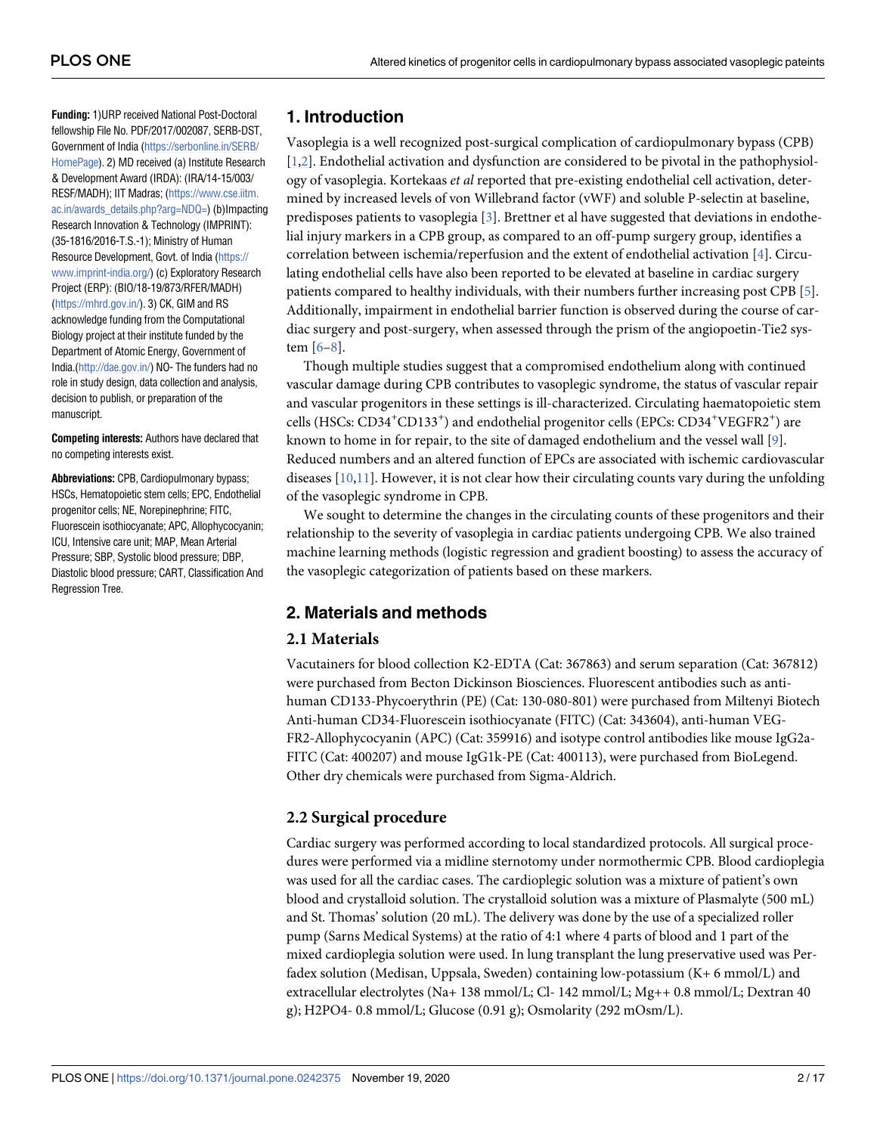<span id="page-1-0"></span>**Funding:** 1)URP received National Post-Doctoral fellowship File No. PDF/2017/002087, SERB-DST, Government of India [\(https://serbonline.in/SERB/](https://serbonline.in/SERB/HomePage) [HomePage\)](https://serbonline.in/SERB/HomePage). 2) MD received (a) Institute Research & Development Award (IRDA): (IRA/14-15/003/ RESF/MADH); IIT Madras; ([https://www.cse.iitm.](https://www.cse.iitm.ac.in/awards_details.php?arg=NDQ=) [ac.in/awards\\_details.php?arg=NDQ=](https://www.cse.iitm.ac.in/awards_details.php?arg=NDQ=)) (b)Impacting Research Innovation & Technology (IMPRINT): (35-1816/2016-T.S.-1); Ministry of Human Resource Development, Govt. of India ([https://](https://www.imprint-india.org/) [www.imprint-india.org/\)](https://www.imprint-india.org/) (c) Exploratory Research Project (ERP): (BIO/18-19/873/RFER/MADH) [\(https://mhrd.gov.in/](https://mhrd.gov.in/)). 3) CK, GIM and RS acknowledge funding from the Computational Biology project at their institute funded by the Department of Atomic Energy, Government of India.[\(http://dae.gov.in/\)](http://dae.gov.in/) NO- The funders had no role in study design, data collection and analysis, decision to publish, or preparation of the manuscript.

**Competing interests:** Authors have declared that no competing interests exist.

**Abbreviations:** CPB, Cardiopulmonary bypass; HSCs, Hematopoietic stem cells; EPC, Endothelial progenitor cells; NE, Norepinephrine; FITC, Fluorescein isothiocyanate; APC, Allophycocyanin; ICU, Intensive care unit; MAP, Mean Arterial Pressure; SBP, Systolic blood pressure; DBP, Diastolic blood pressure; CART, Classification And Regression Tree.

## **1. Introduction**

Vasoplegia is a well recognized post-surgical complication of cardiopulmonary bypass (CPB) [\[1,2](#page-14-0)]. Endothelial activation and dysfunction are considered to be pivotal in the pathophysiology of vasoplegia. Kortekaas et al reported that pre-existing endothelial cell activation, determined by increased levels of von Willebrand factor (vWF) and soluble P-selectin at baseline, predisposes patients to vasoplegia  $[3]$ . Brettner et al have suggested that deviations in endothelial injury markers in a CPB group, as compared to an off-pump surgery group, identifies a correlation between ischemia/reperfusion and the extent of endothelial activation [[4\]](#page-14-0). Circulating endothelial cells have also been reported to be elevated at baseline in cardiac surgery patients compared to healthy individuals, with their numbers further increasing post CPB [[5](#page-14-0)]. Additionally, impairment in endothelial barrier function is observed during the course of cardiac surgery and post-surgery, when assessed through the prism of the angiopoetin-Tie2 system [\[6–8\]](#page-14-0).

Though multiple studies suggest that a compromised endothelium along with continued vascular damage during CPB contributes to vasoplegic syndrome, the status of vascular repair and vascular progenitors in these settings is ill-characterized. Circulating haematopoietic stem cells (HSCs: CD34<sup>+</sup>CD133<sup>+</sup>) and endothelial progenitor cells (EPCs: CD34<sup>+</sup>VEGFR2<sup>+</sup>) are known to home in for repair, to the site of damaged endothelium and the vessel wall  $[9]$ . Reduced numbers and an altered function of EPCs are associated with ischemic cardiovascular diseases  $[10,11]$  $[10,11]$ . However, it is not clear how their circulating counts vary during the unfolding of the vasoplegic syndrome in CPB.

We sought to determine the changes in the circulating counts of these progenitors and their relationship to the severity of vasoplegia in cardiac patients undergoing CPB. We also trained machine learning methods (logistic regression and gradient boosting) to assess the accuracy of the vasoplegic categorization of patients based on these markers.

## **2. Materials and methods**

## **2.1 Materials**

Vacutainers for blood collection K2-EDTA (Cat: 367863) and serum separation (Cat: 367812) were purchased from Becton Dickinson Biosciences. Fluorescent antibodies such as antihuman CD133-Phycoerythrin (PE) (Cat: 130-080-801) were purchased from Miltenyi Biotech Anti-human CD34-Fluorescein isothiocyanate (FITC) (Cat: 343604), anti-human VEG-FR2-Allophycocyanin (APC) (Cat: 359916) and isotype control antibodies like mouse IgG2a-FITC (Cat: 400207) and mouse IgG1k-PE (Cat: 400113), were purchased from BioLegend. Other dry chemicals were purchased from Sigma-Aldrich.

## **2.2 Surgical procedure**

Cardiac surgery was performed according to local standardized protocols. All surgical procedures were performed via a midline sternotomy under normothermic CPB. Blood cardioplegia was used for all the cardiac cases. The cardioplegic solution was a mixture of patient's own blood and crystalloid solution. The crystalloid solution was a mixture of Plasmalyte (500 mL) and St. Thomas' solution (20 mL). The delivery was done by the use of a specialized roller pump (Sarns Medical Systems) at the ratio of 4:1 where 4 parts of blood and 1 part of the mixed cardioplegia solution were used. In lung transplant the lung preservative used was Perfadex solution (Medisan, Uppsala, Sweden) containing low-potassium (K+ 6 mmol/L) and extracellular electrolytes (Na+ 138 mmol/L; Cl- 142 mmol/L; Mg++ 0.8 mmol/L; Dextran 40 g); H2PO4- 0.8 mmol/L; Glucose (0.91 g); Osmolarity (292 mOsm/L).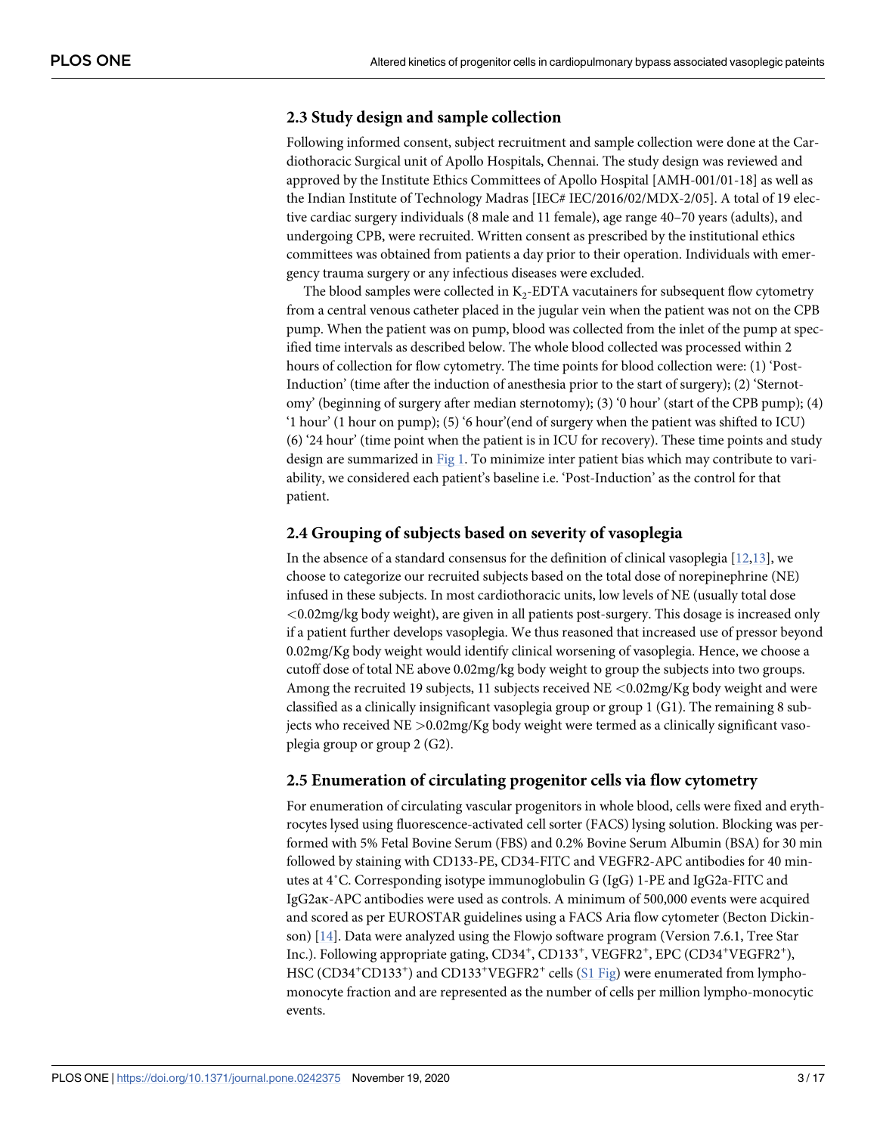## <span id="page-2-0"></span>**2.3 Study design and sample collection**

Following informed consent, subject recruitment and sample collection were done at the Cardiothoracic Surgical unit of Apollo Hospitals, Chennai. The study design was reviewed and approved by the Institute Ethics Committees of Apollo Hospital [AMH-001/01-18] as well as the Indian Institute of Technology Madras [IEC# IEC/2016/02/MDX-2/05]. A total of 19 elective cardiac surgery individuals (8 male and 11 female), age range 40–70 years (adults), and undergoing CPB, were recruited. Written consent as prescribed by the institutional ethics committees was obtained from patients a day prior to their operation. Individuals with emergency trauma surgery or any infectious diseases were excluded.

The blood samples were collected in  $K_2$ -EDTA vacutainers for subsequent flow cytometry from a central venous catheter placed in the jugular vein when the patient was not on the CPB pump. When the patient was on pump, blood was collected from the inlet of the pump at specified time intervals as described below. The whole blood collected was processed within 2 hours of collection for flow cytometry. The time points for blood collection were: (1) 'Post-Induction' (time after the induction of anesthesia prior to the start of surgery); (2) 'Sternotomy' (beginning of surgery after median sternotomy); (3) '0 hour' (start of the CPB pump); (4) '1 hour' (1 hour on pump); (5) '6 hour'(end of surgery when the patient was shifted to ICU) (6) '24 hour' (time point when the patient is in ICU for recovery). These time points and study design are summarized in [Fig 1](#page-3-0). To minimize inter patient bias which may contribute to variability, we considered each patient's baseline i.e. 'Post-Induction' as the control for that patient.

## **2.4 Grouping of subjects based on severity of vasoplegia**

In the absence of a standard consensus for the definition of clinical vasoplegia  $[12,13]$  $[12,13]$ , we choose to categorize our recruited subjects based on the total dose of norepinephrine (NE) infused in these subjects. In most cardiothoracic units, low levels of NE (usually total dose *<*0.02mg/kg body weight), are given in all patients post-surgery. This dosage is increased only if a patient further develops vasoplegia. We thus reasoned that increased use of pressor beyond 0.02mg/Kg body weight would identify clinical worsening of vasoplegia. Hence, we choose a cutoff dose of total NE above 0.02mg/kg body weight to group the subjects into two groups. Among the recruited 19 subjects, 11 subjects received NE *<*0.02mg/Kg body weight and were classified as a clinically insignificant vasoplegia group or group 1 (G1). The remaining 8 subjects who received NE *>*0.02mg/Kg body weight were termed as a clinically significant vasoplegia group or group 2 (G2).

## **2.5 Enumeration of circulating progenitor cells via flow cytometry**

For enumeration of circulating vascular progenitors in whole blood, cells were fixed and erythrocytes lysed using fluorescence-activated cell sorter (FACS) lysing solution. Blocking was performed with 5% Fetal Bovine Serum (FBS) and 0.2% Bovine Serum Albumin (BSA) for 30 min followed by staining with CD133-PE, CD34-FITC and VEGFR2-APC antibodies for 40 minutes at 4˚C. Corresponding isotype immunoglobulin G (IgG) 1-PE and IgG2a-FITC and IgG2aκ-APC antibodies were used as controls. A minimum of 500,000 events were acquired and scored as per EUROSTAR guidelines using a FACS Aria flow cytometer (Becton Dickinson)  $[14]$ . Data were analyzed using the Flowjo software program (Version 7.6.1, Tree Star Inc.). Following appropriate gating, CD34<sup>+</sup>, CD133<sup>+</sup>, VEGFR2<sup>+</sup>, EPC (CD34<sup>+</sup>VEGFR2<sup>+</sup>), HSC (CD34<sup>+</sup>CD133<sup>+</sup>) and CD133<sup>+</sup>VEGFR2<sup>+</sup> cells ([S1 Fig](#page-13-0)) were enumerated from lymphomonocyte fraction and are represented as the number of cells per million lympho-monocytic events.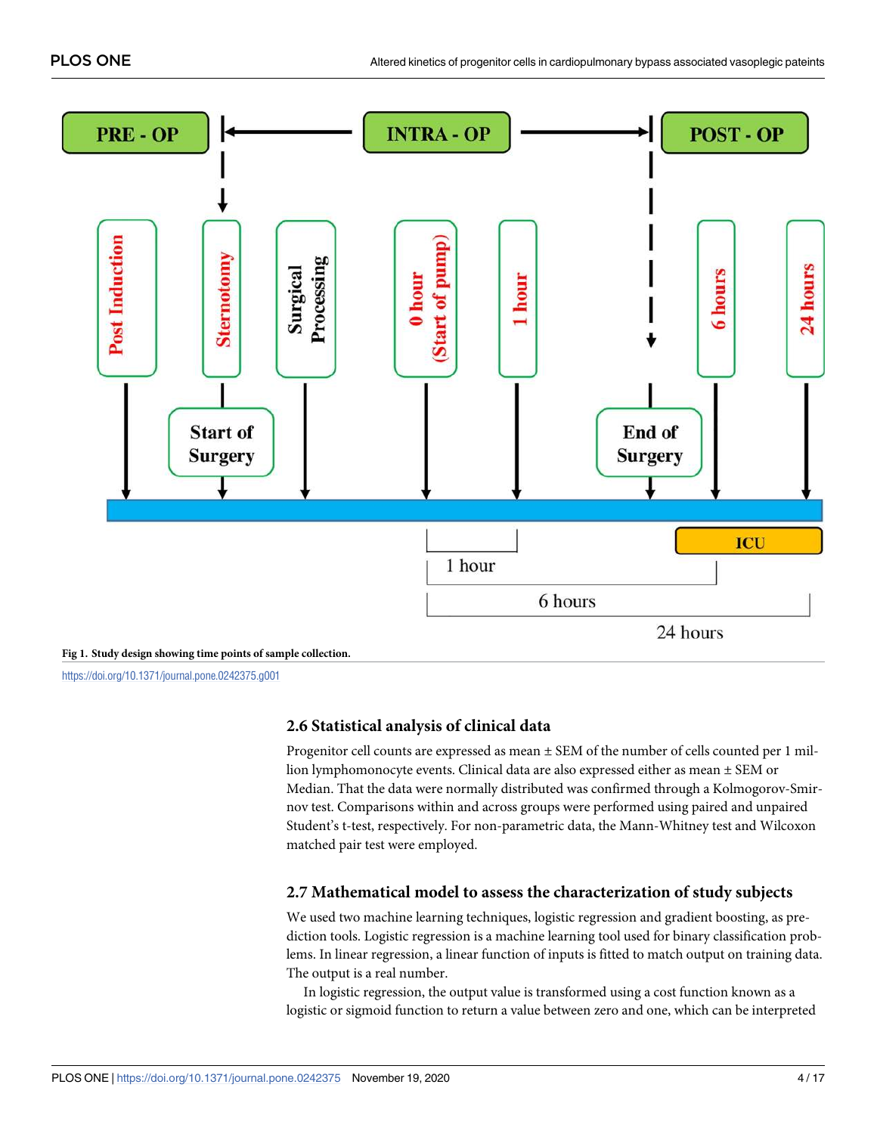<span id="page-3-0"></span>

<https://doi.org/10.1371/journal.pone.0242375.g001>

#### **2.6 Statistical analysis of clinical data**

Progenitor cell counts are expressed as mean ± SEM of the number of cells counted per 1 million lymphomonocyte events. Clinical data are also expressed either as mean ± SEM or Median. That the data were normally distributed was confirmed through a Kolmogorov-Smirnov test. Comparisons within and across groups were performed using paired and unpaired Student's t-test, respectively. For non-parametric data, the Mann-Whitney test and Wilcoxon matched pair test were employed.

#### **2.7 Mathematical model to assess the characterization of study subjects**

We used two machine learning techniques, logistic regression and gradient boosting, as prediction tools. Logistic regression is a machine learning tool used for binary classification problems. In linear regression, a linear function of inputs is fitted to match output on training data. The output is a real number.

In logistic regression, the output value is transformed using a cost function known as a logistic or sigmoid function to return a value between zero and one, which can be interpreted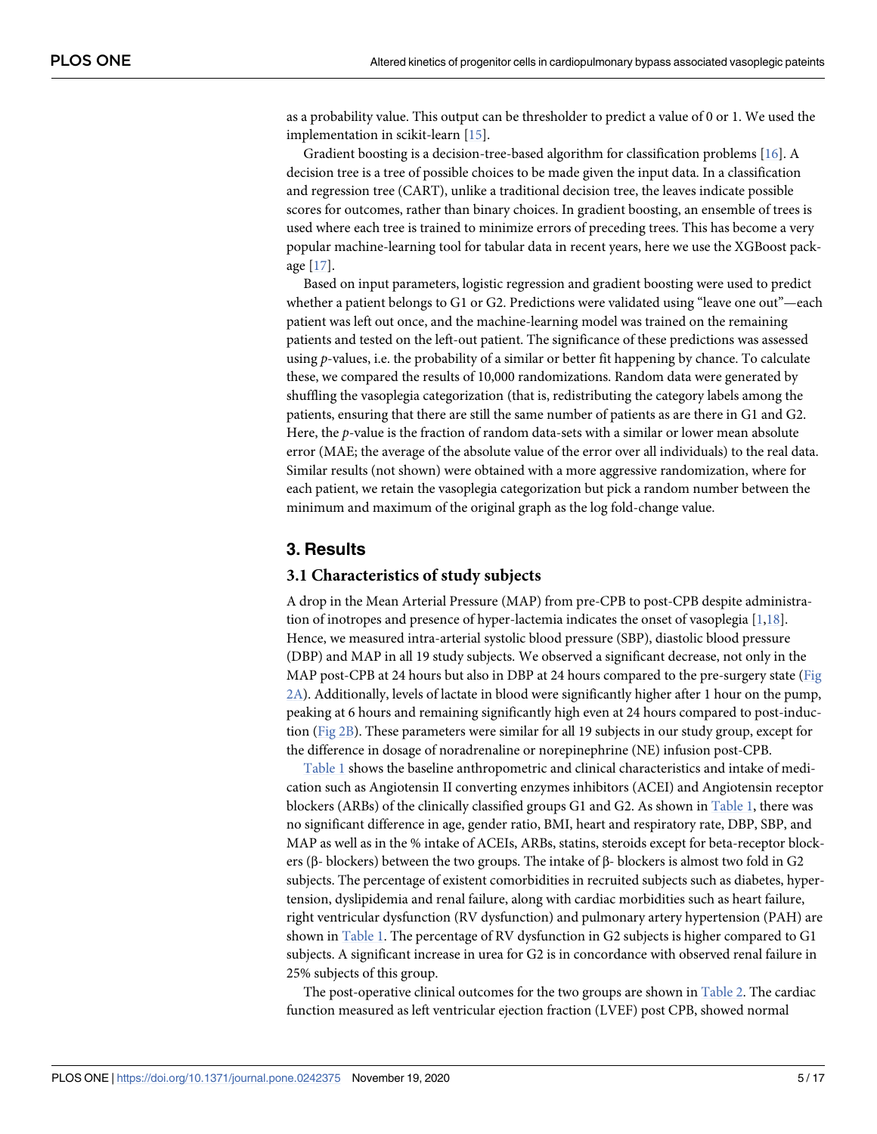<span id="page-4-0"></span>as a probability value. This output can be thresholder to predict a value of 0 or 1. We used the implementation in scikit-learn [\[15\]](#page-14-0).

Gradient boosting is a decision-tree-based algorithm for classification problems [\[16\]](#page-14-0). A decision tree is a tree of possible choices to be made given the input data. In a classification and regression tree (CART), unlike a traditional decision tree, the leaves indicate possible scores for outcomes, rather than binary choices. In gradient boosting, an ensemble of trees is used where each tree is trained to minimize errors of preceding trees. This has become a very popular machine-learning tool for tabular data in recent years, here we use the XGBoost package [[17](#page-14-0)].

Based on input parameters, logistic regression and gradient boosting were used to predict whether a patient belongs to G1 or G2. Predictions were validated using "leave one out"—each patient was left out once, and the machine-learning model was trained on the remaining patients and tested on the left-out patient. The significance of these predictions was assessed using p-values, i.e. the probability of a similar or better fit happening by chance. To calculate these, we compared the results of 10,000 randomizations. Random data were generated by shuffling the vasoplegia categorization (that is, redistributing the category labels among the patients, ensuring that there are still the same number of patients as are there in G1 and G2. Here, the  $p$ -value is the fraction of random data-sets with a similar or lower mean absolute error (MAE; the average of the absolute value of the error over all individuals) to the real data. Similar results (not shown) were obtained with a more aggressive randomization, where for each patient, we retain the vasoplegia categorization but pick a random number between the minimum and maximum of the original graph as the log fold-change value.

#### **3. Results**

#### **3.1 Characteristics of study subjects**

A drop in the Mean Arterial Pressure (MAP) from pre-CPB to post-CPB despite administration of inotropes and presence of hyper-lactemia indicates the onset of vasoplegia [\[1](#page-14-0)[,18\]](#page-15-0). Hence, we measured intra-arterial systolic blood pressure (SBP), diastolic blood pressure (DBP) and MAP in all 19 study subjects. We observed a significant decrease, not only in the MAP post-CPB at 24 hours but also in DBP at 24 hours compared to the pre-surgery state [\(Fig](#page-5-0) [2A\)](#page-5-0). Additionally, levels of lactate in blood were significantly higher after 1 hour on the pump, peaking at 6 hours and remaining significantly high even at 24 hours compared to post-induction ([Fig 2B](#page-5-0)). These parameters were similar for all 19 subjects in our study group, except for the difference in dosage of noradrenaline or norepinephrine (NE) infusion post-CPB.

[Table 1](#page-6-0) shows the baseline anthropometric and clinical characteristics and intake of medication such as Angiotensin II converting enzymes inhibitors (ACEI) and Angiotensin receptor blockers (ARBs) of the clinically classified groups G1 and G2. As shown in [Table 1,](#page-6-0) there was no significant difference in age, gender ratio, BMI, heart and respiratory rate, DBP, SBP, and MAP as well as in the % intake of ACEIs, ARBs, statins, steroids except for beta-receptor blockers (β- blockers) between the two groups. The intake of β- blockers is almost two fold in G2 subjects. The percentage of existent comorbidities in recruited subjects such as diabetes, hypertension, dyslipidemia and renal failure, along with cardiac morbidities such as heart failure, right ventricular dysfunction (RV dysfunction) and pulmonary artery hypertension (PAH) are shown in [Table 1](#page-6-0). The percentage of RV dysfunction in G2 subjects is higher compared to G1 subjects. A significant increase in urea for G2 is in concordance with observed renal failure in 25% subjects of this group.

The post-operative clinical outcomes for the two groups are shown in [Table 2.](#page-7-0) The cardiac function measured as left ventricular ejection fraction (LVEF) post CPB, showed normal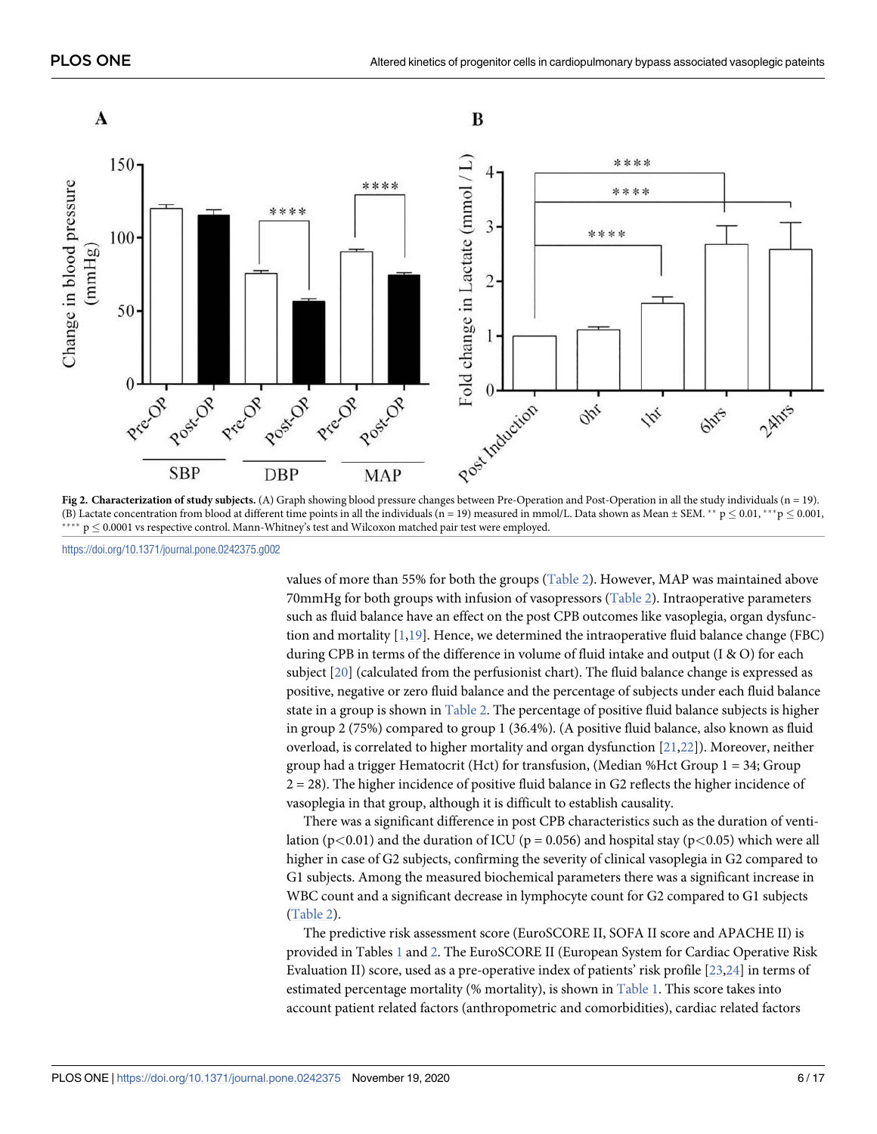<span id="page-5-0"></span>

**[Fig 2.](#page-4-0) Characterization of study subjects.** (A) Graph showing blood pressure changes between Pre-Operation and Post-Operation in all the study individuals (n = 19). (B) Lactate concentration from blood at different time points in all the individuals (n = 19) measured in mmol/L. Data shown as Mean  $\pm$  SEM. \*\* p  $\leq$  0.01, \*\*\* p  $\leq$  0.001,  $p \leq 0.0001$  vs respective control. Mann-Whitney's test and Wilcoxon matched pair test were employed.

<https://doi.org/10.1371/journal.pone.0242375.g002>

values of more than 55% for both the groups [\(Table 2](#page-7-0)). However, MAP was maintained above 70mmHg for both groups with infusion of vasopressors ([Table 2](#page-7-0)). Intraoperative parameters such as fluid balance have an effect on the post CPB outcomes like vasoplegia, organ dysfunction and mortality [\[1](#page-14-0)[,19\]](#page-15-0). Hence, we determined the intraoperative fluid balance change (FBC) during CPB in terms of the difference in volume of fluid intake and output (I & O) for each subject [[20](#page-15-0)] (calculated from the perfusionist chart). The fluid balance change is expressed as positive, negative or zero fluid balance and the percentage of subjects under each fluid balance state in a group is shown in [Table 2.](#page-7-0) The percentage of positive fluid balance subjects is higher in group 2 (75%) compared to group 1 (36.4%). (A positive fluid balance, also known as fluid overload, is correlated to higher mortality and organ dysfunction [\[21,22\]](#page-15-0)). Moreover, neither group had a trigger Hematocrit (Hct) for transfusion, (Median %Hct Group  $1 = 34$ ; Group 2 = 28). The higher incidence of positive fluid balance in G2 reflects the higher incidence of vasoplegia in that group, although it is difficult to establish causality.

There was a significant difference in post CPB characteristics such as the duration of ventilation ( $p$ <0.01) and the duration of ICU ( $p$  = 0.056) and hospital stay ( $p$ <0.05) which were all higher in case of G2 subjects, confirming the severity of clinical vasoplegia in G2 compared to G1 subjects. Among the measured biochemical parameters there was a significant increase in WBC count and a significant decrease in lymphocyte count for G2 compared to G1 subjects [\(Table 2\)](#page-7-0).

The predictive risk assessment score (EuroSCORE II, SOFA II score and APACHE II) is provided in Tables [1](#page-6-0) and [2.](#page-7-0) The EuroSCORE II (European System for Cardiac Operative Risk Evaluation II) score, used as a pre-operative index of patients' risk profile [\[23,24\]](#page-15-0) in terms of estimated percentage mortality (% mortality), is shown in [Table 1.](#page-6-0) This score takes into account patient related factors (anthropometric and comorbidities), cardiac related factors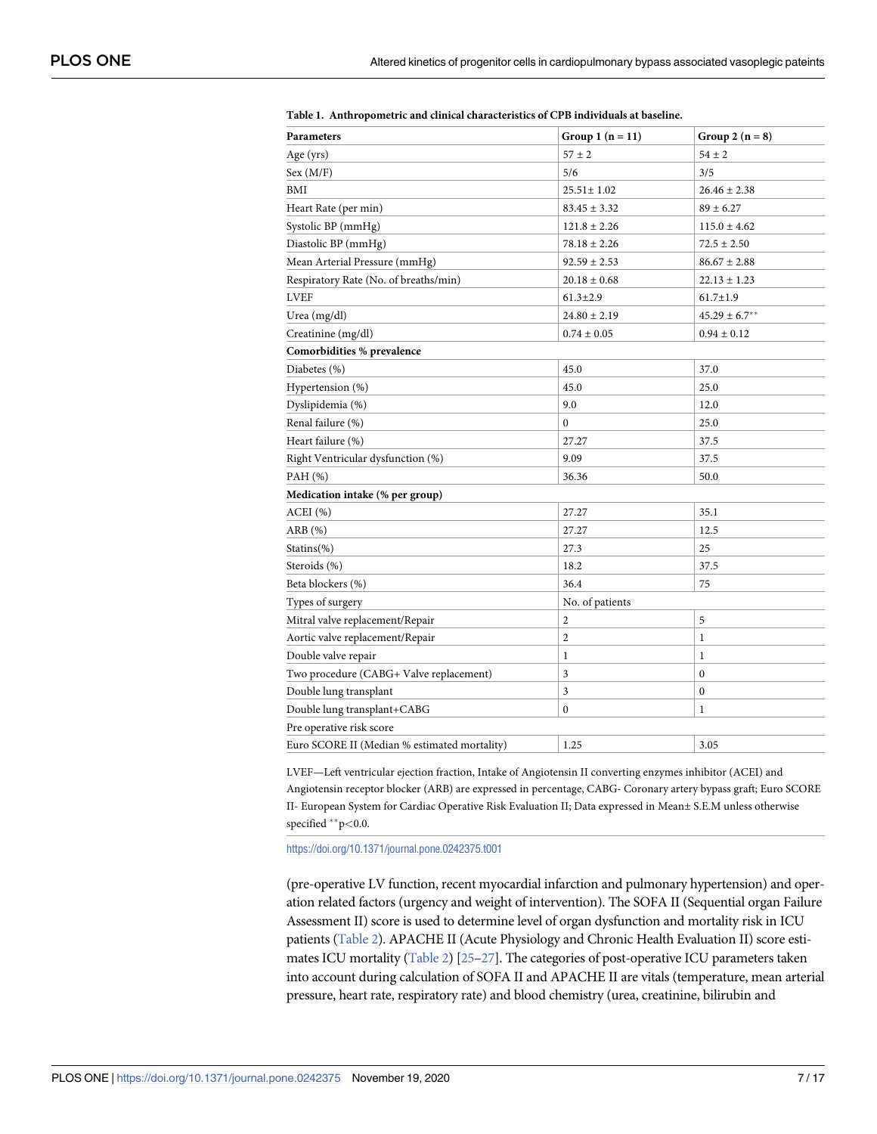| Parameters                                   | Group 1 $(n = 11)$ | Group 2 $(n = 8)$  |
|----------------------------------------------|--------------------|--------------------|
| Age (yrs)                                    | $57 \pm 2$         | $54 \pm 2$         |
| Sex (M/F)                                    | 5/6                | 3/5                |
| BMI                                          | $25.51 \pm 1.02$   | $26.46 \pm 2.38$   |
| Heart Rate (per min)                         | $83.45 \pm 3.32$   | $89 \pm 6.27$      |
| Systolic BP (mmHg)                           | $121.8 \pm 2.26$   | $115.0 \pm 4.62$   |
| Diastolic BP (mmHg)                          | $78.18 \pm 2.26$   | $72.5 \pm 2.50$    |
| Mean Arterial Pressure (mmHg)                | $92.59 \pm 2.53$   | $86.67 \pm 2.88$   |
| Respiratory Rate (No. of breaths/min)        | $20.18 \pm 0.68$   | $22.13 \pm 1.23$   |
| <b>LVEF</b>                                  | $61.3 \pm 2.9$     | $61.7 \pm 1.9$     |
| Urea (mg/dl)                                 | $24.80 \pm 2.19$   | $45.29 \pm 6.7***$ |
| Creatinine (mg/dl)                           | $0.74 \pm 0.05$    | $0.94 \pm 0.12$    |
| Comorbidities % prevalence                   |                    |                    |
| Diabetes (%)                                 | 45.0               | 37.0               |
| Hypertension (%)                             | 45.0               | 25.0               |
| Dyslipidemia (%)                             | 9.0                | 12.0               |
| Renal failure (%)                            | $\mathbf{0}$       | 25.0               |
| Heart failure (%)                            | 27.27              | 37.5               |
| Right Ventricular dysfunction (%)            | 9.09               | 37.5               |
| PAH (%)                                      | 36.36              | 50.0               |
| Medication intake (% per group)              |                    |                    |
| ACEI(%)                                      | 27.27              | 35.1               |
| ARB (%)                                      | 27.27              | 12.5               |
| $Statins(\%)$                                | 27.3               | 25                 |
| Steroids (%)                                 | 18.2               | 37.5               |
| Beta blockers (%)                            | 36.4               | 75                 |
| Types of surgery                             | No. of patients    |                    |
| Mitral valve replacement/Repair              | $\overline{c}$     | 5                  |
| Aortic valve replacement/Repair              | $\overline{c}$     | $\mathbf{1}$       |
| Double valve repair                          | 1                  | 1                  |
| Two procedure (CABG+ Valve replacement)      | 3                  | $\bf{0}$           |
| Double lung transplant                       | 3                  | $\mathbf{0}$       |
| Double lung transplant+CABG                  | $\mathbf{0}$       | $\mathbf{1}$       |
| Pre operative risk score                     |                    |                    |
| Euro SCORE II (Median % estimated mortality) | 1.25               | 3.05               |

<span id="page-6-0"></span>**[Table 1.](#page-4-0) Anthropometric and clinical characteristics of CPB individuals at baseline.**

LVEF—Left ventricular ejection fraction, Intake of Angiotensin II converting enzymes inhibitor (ACEI) and Angiotensin receptor blocker (ARB) are expressed in percentage, CABG- Coronary artery bypass graft; Euro SCORE II- European System for Cardiac Operative Risk Evaluation II; Data expressed in Mean± S.E.M unless otherwise specified \*\*p<0.0.

<https://doi.org/10.1371/journal.pone.0242375.t001>

(pre-operative LV function, recent myocardial infarction and pulmonary hypertension) and operation related factors (urgency and weight of intervention). The SOFA II (Sequential organ Failure Assessment II) score is used to determine level of organ dysfunction and mortality risk in ICU patients ([Table 2](#page-7-0)). APACHE II (Acute Physiology and Chronic Health Evaluation II) score esti-mates ICU mortality [\(Table 2](#page-7-0)) [25-27]. The categories of post-operative ICU parameters taken into account during calculation of SOFA II and APACHE II are vitals (temperature, mean arterial pressure, heart rate, respiratory rate) and blood chemistry (urea, creatinine, bilirubin and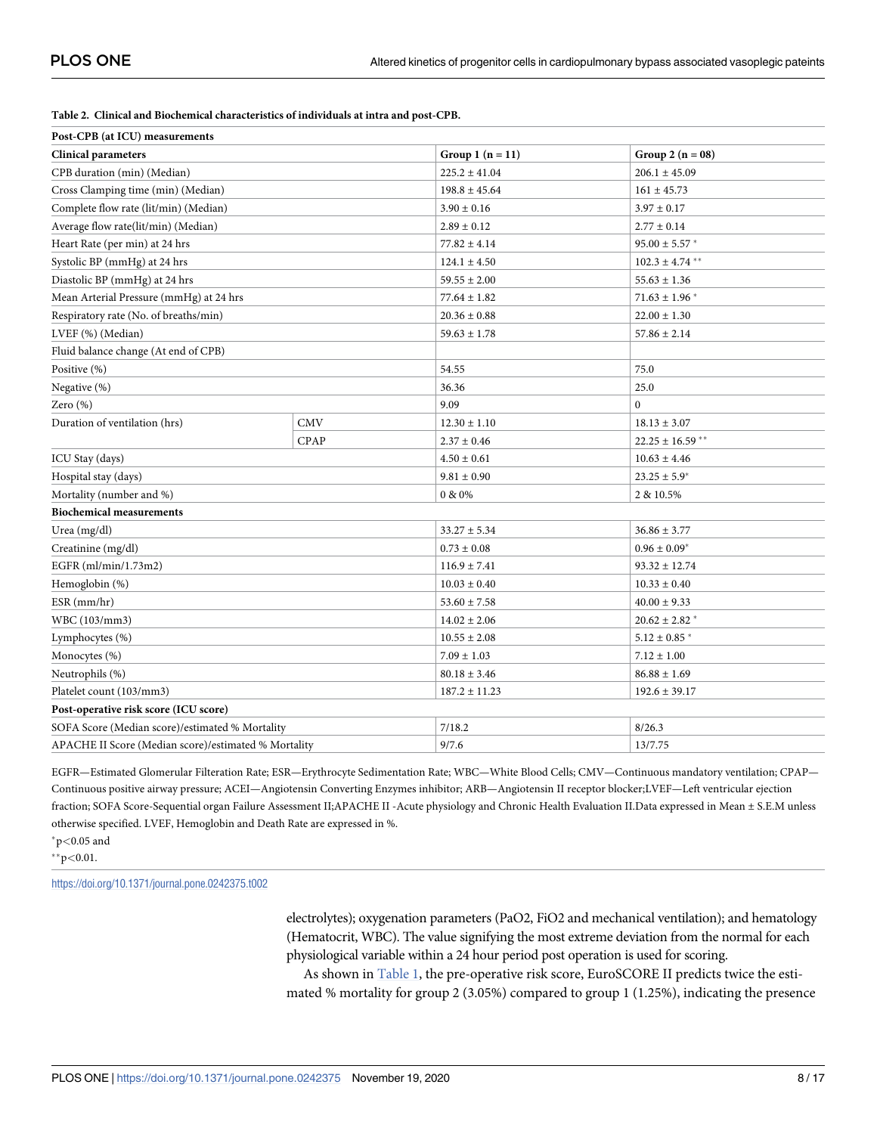| Post-CPB (at ICU) measurements                       |            |                   |                               |  |
|------------------------------------------------------|------------|-------------------|-------------------------------|--|
| <b>Clinical parameters</b>                           |            |                   | Group 2 $(n = 08)$            |  |
| CPB duration (min) (Median)                          |            | $225.2 \pm 41.04$ | $206.1 \pm 45.09$             |  |
| Cross Clamping time (min) (Median)                   |            | $198.8 \pm 45.64$ | $161 \pm 45.73$               |  |
| Complete flow rate (lit/min) (Median)                |            | $3.90 \pm 0.16$   | $3.97 \pm 0.17$               |  |
| Average flow rate(lit/min) (Median)                  |            | $2.89 \pm 0.12$   | $2.77 \pm 0.14$               |  |
| Heart Rate (per min) at 24 hrs                       |            | $77.82 \pm 4.14$  | $95.00 \pm 5.57$ *            |  |
| Systolic BP (mmHg) at 24 hrs                         |            | $124.1 \pm 4.50$  | $102.3 \pm 4.74$ **           |  |
| Diastolic BP (mmHg) at 24 hrs                        |            | $59.55 \pm 2.00$  | $55.63 \pm 1.36$              |  |
| Mean Arterial Pressure (mmHg) at 24 hrs              |            | $77.64 \pm 1.82$  | $71.63 \pm 1.96$ <sup>*</sup> |  |
| Respiratory rate (No. of breaths/min)                |            | $20.36 \pm 0.88$  | $22.00 \pm 1.30$              |  |
| LVEF (%) (Median)                                    |            | $59.63 \pm 1.78$  | $57.86 \pm 2.14$              |  |
| Fluid balance change (At end of CPB)                 |            |                   |                               |  |
| Positive (%)                                         |            | 54.55             | 75.0                          |  |
| Negative (%)                                         |            | 36.36             | 25.0                          |  |
| Zero (%)                                             |            | 9.09              | $\overline{0}$                |  |
| Duration of ventilation (hrs)                        | <b>CMV</b> | $12.30 \pm 1.10$  | $18.13 \pm 3.07$              |  |
|                                                      | CPAP       | $2.37 \pm 0.46$   | $22.25 \pm 16.59$ **          |  |
| ICU Stay (days)                                      |            | $4.50 \pm 0.61$   | $10.63 \pm 4.46$              |  |
| Hospital stay (days)                                 |            | $9.81 \pm 0.90$   | $23.25 \pm 5.9^*$             |  |
| Mortality (number and %)                             |            | 0 & 0%            | 2 & 10.5%                     |  |
| <b>Biochemical measurements</b>                      |            |                   |                               |  |
| Urea (mg/dl)                                         |            | $33.27 \pm 5.34$  | $36.86 \pm 3.77$              |  |
| Creatinine (mg/dl)                                   |            | $0.73 \pm 0.08$   | $0.96 \pm 0.09*$              |  |
| EGFR (ml/min/1.73m2)                                 |            | $116.9 \pm 7.41$  | $93.32 \pm 12.74$             |  |
| Hemoglobin (%)                                       |            | $10.03 \pm 0.40$  | $10.33 \pm 0.40$              |  |
| $ESR$ (mm/hr)                                        |            | $53.60 \pm 7.58$  | $40.00 \pm 9.33$              |  |
| WBC (103/mm3)                                        |            | $14.02 \pm 2.06$  | $20.62 \pm 2.82$ *            |  |
| Lymphocytes (%)                                      |            | $10.55 \pm 2.08$  | $5.12 \pm 0.85$ *             |  |
| Monocytes (%)                                        |            | $7.09 \pm 1.03$   | $7.12 \pm 1.00$               |  |
| Neutrophils (%)                                      |            | $80.18 \pm 3.46$  | $86.88 \pm 1.69$              |  |
| Platelet count (103/mm3)                             |            | $187.2 \pm 11.23$ | $192.6 \pm 39.17$             |  |
| Post-operative risk score (ICU score)                |            |                   |                               |  |
| SOFA Score (Median score)/estimated % Mortality      |            | 7/18.2            | 8/26.3                        |  |
| APACHE II Score (Median score)/estimated % Mortality |            | 9/7.6             | 13/7.75                       |  |

#### <span id="page-7-0"></span>**[Table 2.](#page-4-0) Clinical and Biochemical characteristics of individuals at intra and post-CPB.**

EGFR—Estimated Glomerular Filteration Rate; ESR—Erythrocyte Sedimentation Rate; WBC—White Blood Cells; CMV—Continuous mandatory ventilation; CPAP— Continuous positive airway pressure; ACEI—Angiotensin Converting Enzymes inhibitor; ARB—Angiotensin II receptor blocker;LVEF—Left ventricular ejection fraction; SOFA Score-Sequential organ Failure Assessment II;APACHE II -Acute physiology and Chronic Health Evaluation II.Data expressed in Mean ± S.E.M unless otherwise specified. LVEF, Hemoglobin and Death Rate are expressed in %. �p*<*0.05 and

��p*<*0.01.

<https://doi.org/10.1371/journal.pone.0242375.t002>

electrolytes); oxygenation parameters (PaO2, FiO2 and mechanical ventilation); and hematology (Hematocrit, WBC). The value signifying the most extreme deviation from the normal for each physiological variable within a 24 hour period post operation is used for scoring.

As shown in [Table 1,](#page-6-0) the pre-operative risk score, EuroSCORE II predicts twice the estimated % mortality for group 2 (3.05%) compared to group 1 (1.25%), indicating the presence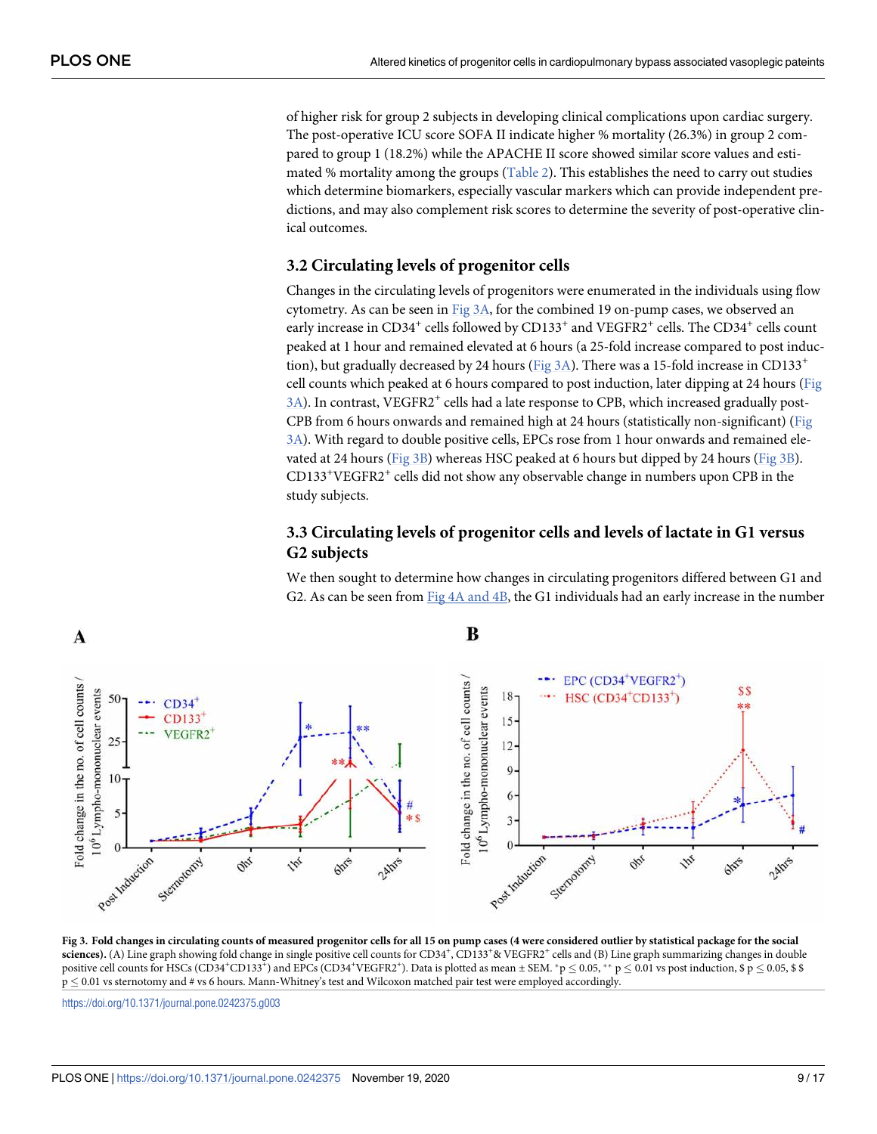<span id="page-8-0"></span>of higher risk for group 2 subjects in developing clinical complications upon cardiac surgery. The post-operative ICU score SOFA II indicate higher % mortality (26.3%) in group 2 compared to group 1 (18.2%) while the APACHE II score showed similar score values and estimated % mortality among the groups  $(Table 2)$  $(Table 2)$  $(Table 2)$ . This establishes the need to carry out studies which determine biomarkers, especially vascular markers which can provide independent predictions, and may also complement risk scores to determine the severity of post-operative clinical outcomes.

#### **3.2 Circulating levels of progenitor cells**

Changes in the circulating levels of progenitors were enumerated in the individuals using flow cytometry. As can be seen in Fig 3A, for the combined 19 on-pump cases, we observed an early increase in CD34<sup>+</sup> cells followed by CD133<sup>+</sup> and VEGFR2<sup>+</sup> cells. The CD34<sup>+</sup> cells count peaked at 1 hour and remained elevated at 6 hours (a 25-fold increase compared to post induction), but gradually decreased by 24 hours (Fig 3A). There was a 15-fold increase in CD133<sup>+</sup> cell counts which peaked at 6 hours compared to post induction, later dipping at 24 hours (Fig 3A). In contrast, VEGFR2<sup>+</sup> cells had a late response to CPB, which increased gradually post-CPB from 6 hours onwards and remained high at 24 hours (statistically non-significant) (Fig 3A). With regard to double positive cells, EPCs rose from 1 hour onwards and remained elevated at 24 hours (Fig 3B) whereas HSC peaked at 6 hours but dipped by 24 hours (Fig 3B). CD133<sup>+</sup>VEGFR2<sup>+</sup> cells did not show any observable change in numbers upon CPB in the study subjects.

## **3.3 Circulating levels of progenitor cells and levels of lactate in G1 versus G2 subjects**

We then sought to determine how changes in circulating progenitors differed between G1 and G2. As can be seen from  $Fig 4A$  and  $4B$ , the G1 individuals had an early increase in the number



**Fig 3. Fold changes in circulating counts of measured progenitor cells for all 15 on pump cases (4 were considered outlier by statistical package for the social** sciences). (A) Line graph showing fold change in single positive cell counts for CD34<sup>+</sup>, CD133<sup>+</sup>& VEGFR2<sup>+</sup> cells and (B) Line graph summarizing changes in double positive cell counts for HSCs (CD34\*CD133\*) and EPCs (CD34\*VEGFR2\*). Data is plotted as mean ± SEM. \*p  $\leq$  0.05, \*\* p  $\leq$  0.01 vs post induction, \$ p  $\leq$  0.05, \$ \$  $p \le 0.01$  vs sternotomy and # vs 6 hours. Mann-Whitney's test and Wilcoxon matched pair test were employed accordingly.

<https://doi.org/10.1371/journal.pone.0242375.g003>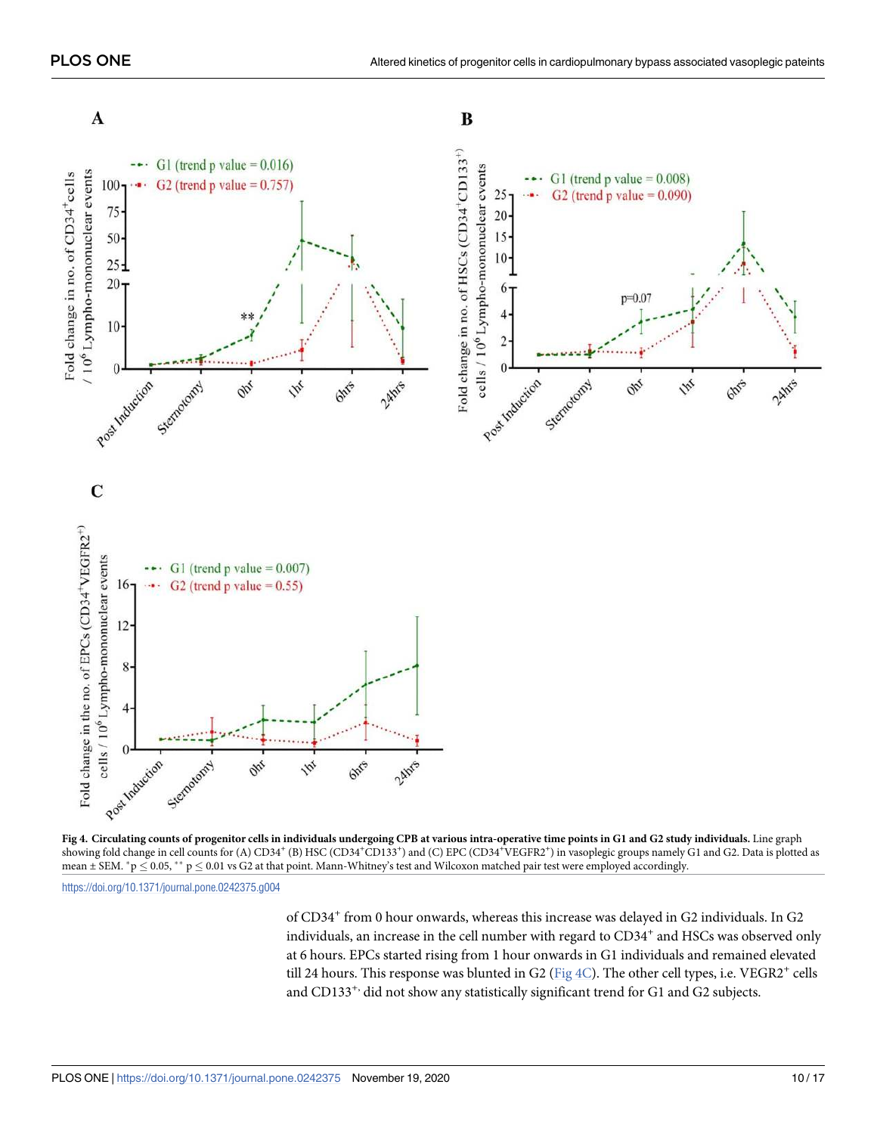<span id="page-9-0"></span>

**[Fig 4.](#page-8-0) Circulating counts of progenitor cells in individuals undergoing CPB at various intra-operative time points in G1 and G2 study individuals.** Line graph showing fold change in cell counts for (A) CD34<sup>+</sup>(B) HSC (CD34<sup>+</sup>CD133<sup>+</sup>) and (C) EPC (CD34<sup>+</sup>VEGFR2<sup>+</sup>) in vasoplegic groups namely G1 and G2. Data is plotted as mean  $\pm$  SEM.  $^*$ p  $\leq$  0.05,  $^{**}$  p  $\leq$  0.01 vs G2 at that point. Mann-Whitney's test and Wilcoxon matched pair test were employed accordingly.

<https://doi.org/10.1371/journal.pone.0242375.g004>

of CD34<sup>+</sup> from 0 hour onwards, whereas this increase was delayed in G2 individuals. In G2 individuals, an increase in the cell number with regard to CD34<sup>+</sup> and HSCs was observed only at 6 hours. EPCs started rising from 1 hour onwards in G1 individuals and remained elevated till 24 hours. This response was blunted in G2 ( $Fig 4C$ ). The other cell types, i.e.  $VEGR2^+$  cells</u> and CD133<sup>+,</sup> did not show any statistically significant trend for G1 and G2 subjects.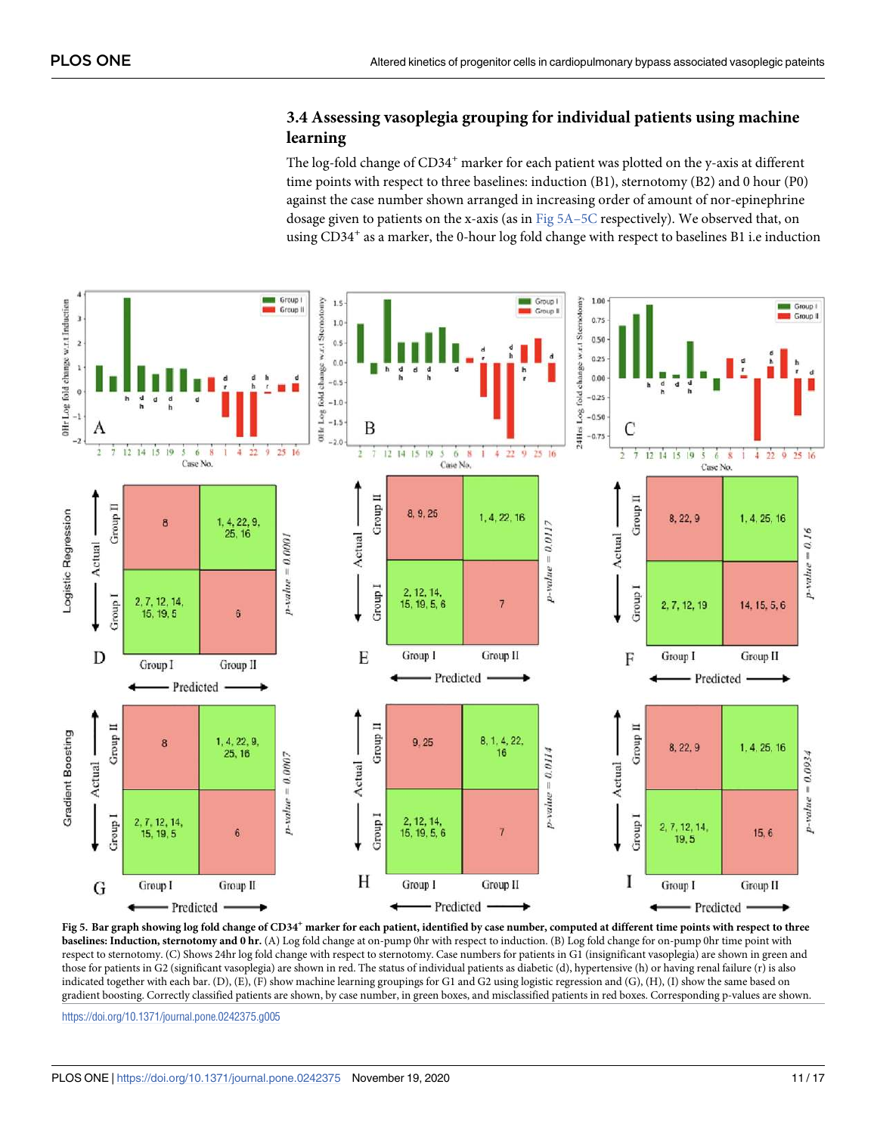## **3.4 Assessing vasoplegia grouping for individual patients using machine learning**

The log-fold change of CD34<sup>+</sup> marker for each patient was plotted on the y-axis at different time points with respect to three baselines: induction (B1), sternotomy (B2) and 0 hour (P0) against the case number shown arranged in increasing order of amount of nor-epinephrine dosage given to patients on the x-axis (as in  $Fig 5A-5C$  respectively). We observed that, on using CD34<sup>+</sup> as a marker, the 0-hour log fold change with respect to baselines B1 i.e induction

<span id="page-10-0"></span>

**Fig 5. Bar graph showing log fold change of CD34<sup>+</sup> marker for each patient, identified by case number, computed at different time points with respect to three baselines: Induction, sternotomy and 0 hr.** (A) Log fold change at on-pump 0hr with respect to induction. (B) Log fold change for on-pump 0hr time point with respect to sternotomy. (C) Shows 24hr log fold change with respect to sternotomy. Case numbers for patients in G1 (insignificant vasoplegia) are shown in green and those for patients in G2 (significant vasoplegia) are shown in red. The status of individual patients as diabetic (d), hypertensive (h) or having renal failure (r) is also indicated together with each bar. (D), (E), (F) show machine learning groupings for G1 and G2 using logistic regression and (G), (H), (I) show the same based on gradient boosting. Correctly classified patients are shown, by case number, in green boxes, and misclassified patients in red boxes. Corresponding p-values are shown.

<https://doi.org/10.1371/journal.pone.0242375.g005>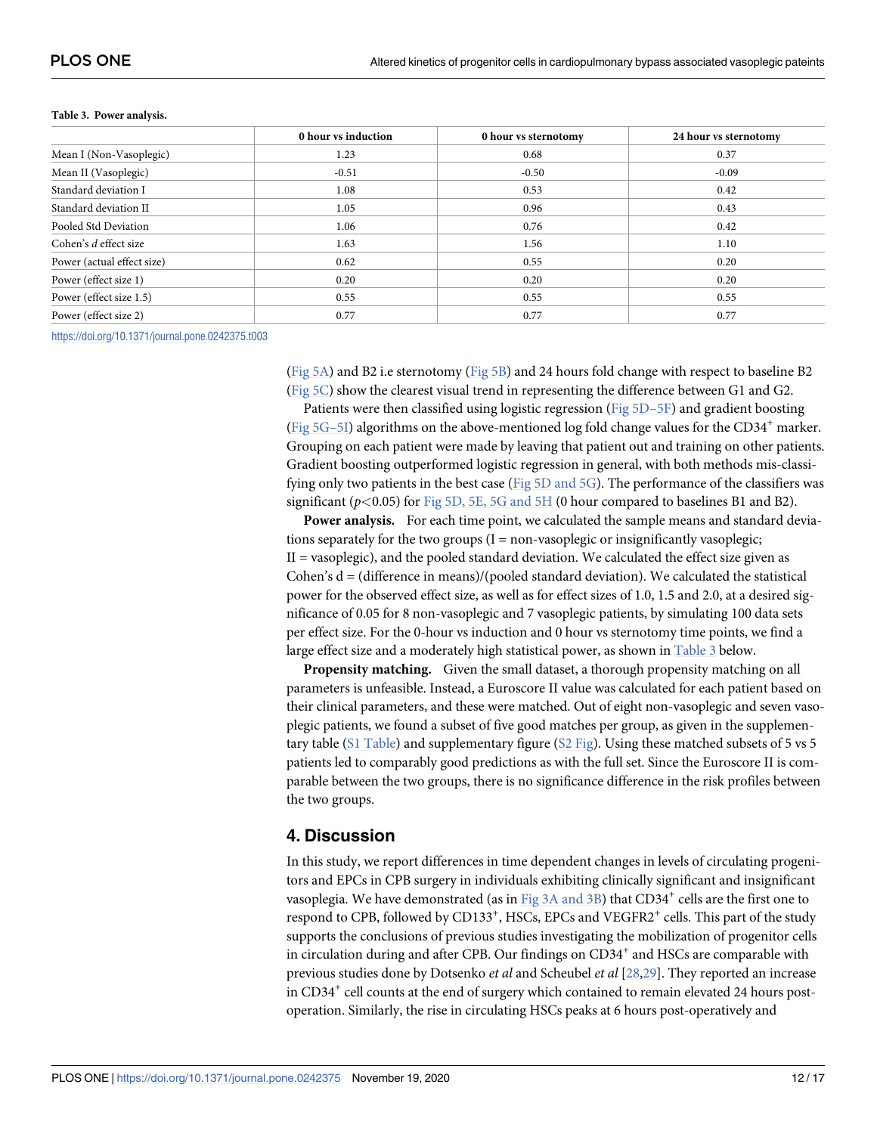|                            | 0 hour vs induction | 0 hour vs sternotomy | 24 hour vs sternotomy |
|----------------------------|---------------------|----------------------|-----------------------|
| Mean I (Non-Vasoplegic)    | 1.23                | 0.68                 | 0.37                  |
| Mean II (Vasoplegic)       | $-0.51$             | $-0.50$              | $-0.09$               |
| Standard deviation I       | 1.08                | 0.53                 | 0.42                  |
| Standard deviation II      | 1.05                | 0.96                 | 0.43                  |
| Pooled Std Deviation       | 1.06                | 0.76                 | 0.42                  |
| Cohen's d effect size      | 1.63                | 1.56                 | 1.10                  |
| Power (actual effect size) | 0.62                | 0.55                 | 0.20                  |
| Power (effect size 1)      | 0.20                | 0.20                 | 0.20                  |
| Power (effect size 1.5)    | 0.55                | 0.55                 | 0.55                  |
| Power (effect size 2)      | 0.77                | 0.77                 | 0.77                  |

#### <span id="page-11-0"></span>**Table 3. Power analysis.**

<https://doi.org/10.1371/journal.pone.0242375.t003>

[\(Fig 5A\)](#page-10-0) and B2 i.e sternotomy [\(Fig 5B\)](#page-10-0) and 24 hours fold change with respect to baseline B2 [\(Fig 5C\)](#page-10-0) show the clearest visual trend in representing the difference between G1 and G2.

Patients were then classified using logistic regression ([Fig 5D–5F\)](#page-10-0) and gradient boosting (Fig  $5G-5I$ ) algorithms on the above-mentioned log fold change values for the CD34<sup>+</sup> marker. Grouping on each patient were made by leaving that patient out and training on other patients. Gradient boosting outperformed logistic regression in general, with both methods mis-classifying only two patients in the best case [\(Fig 5D and 5G](#page-10-0)). The performance of the classifiers was significant (p*<*0.05) for [Fig 5D, 5E, 5G and 5H](#page-10-0) (0 hour compared to baselines B1 and B2).

**Power analysis.** For each time point, we calculated the sample means and standard deviations separately for the two groups  $(I = non-vasoplegic$  or insignificantly vasoplegic; II = vasoplegic), and the pooled standard deviation. We calculated the effect size given as Cohen's  $d = (difference in means)/(pooled standard deviation)$ . We calculated the statistical power for the observed effect size, as well as for effect sizes of 1.0, 1.5 and 2.0, at a desired significance of 0.05 for 8 non-vasoplegic and 7 vasoplegic patients, by simulating 100 data sets per effect size. For the 0-hour vs induction and 0 hour vs sternotomy time points, we find a large effect size and a moderately high statistical power, as shown in Table 3 below.

**Propensity matching.** Given the small dataset, a thorough propensity matching on all parameters is unfeasible. Instead, a Euroscore II value was calculated for each patient based on their clinical parameters, and these were matched. Out of eight non-vasoplegic and seven vasoplegic patients, we found a subset of five good matches per group, as given in the supplementary table [\(S1 Table](#page-13-0)) and supplementary figure [\(S2 Fig](#page-13-0)). Using these matched subsets of 5 vs 5 patients led to comparably good predictions as with the full set. Since the Euroscore II is comparable between the two groups, there is no significance difference in the risk profiles between the two groups.

## **4. Discussion**

In this study, we report differences in time dependent changes in levels of circulating progenitors and EPCs in CPB surgery in individuals exhibiting clinically significant and insignificant vasoplegia. We have demonstrated (as in [Fig 3A and 3B](#page-8-0)) that CD34<sup>+</sup> cells are the first one to respond to CPB, followed by CD133<sup>+</sup>, HSCs, EPCs and VEGFR2<sup>+</sup> cells. This part of the study supports the conclusions of previous studies investigating the mobilization of progenitor cells in circulation during and after CPB. Our findings on CD34<sup>+</sup> and HSCs are comparable with previous studies done by Dotsenko et al and Scheubel et al [\[28,29\]](#page-15-0). They reported an increase in CD34<sup>+</sup> cell counts at the end of surgery which contained to remain elevated 24 hours postoperation. Similarly, the rise in circulating HSCs peaks at 6 hours post-operatively and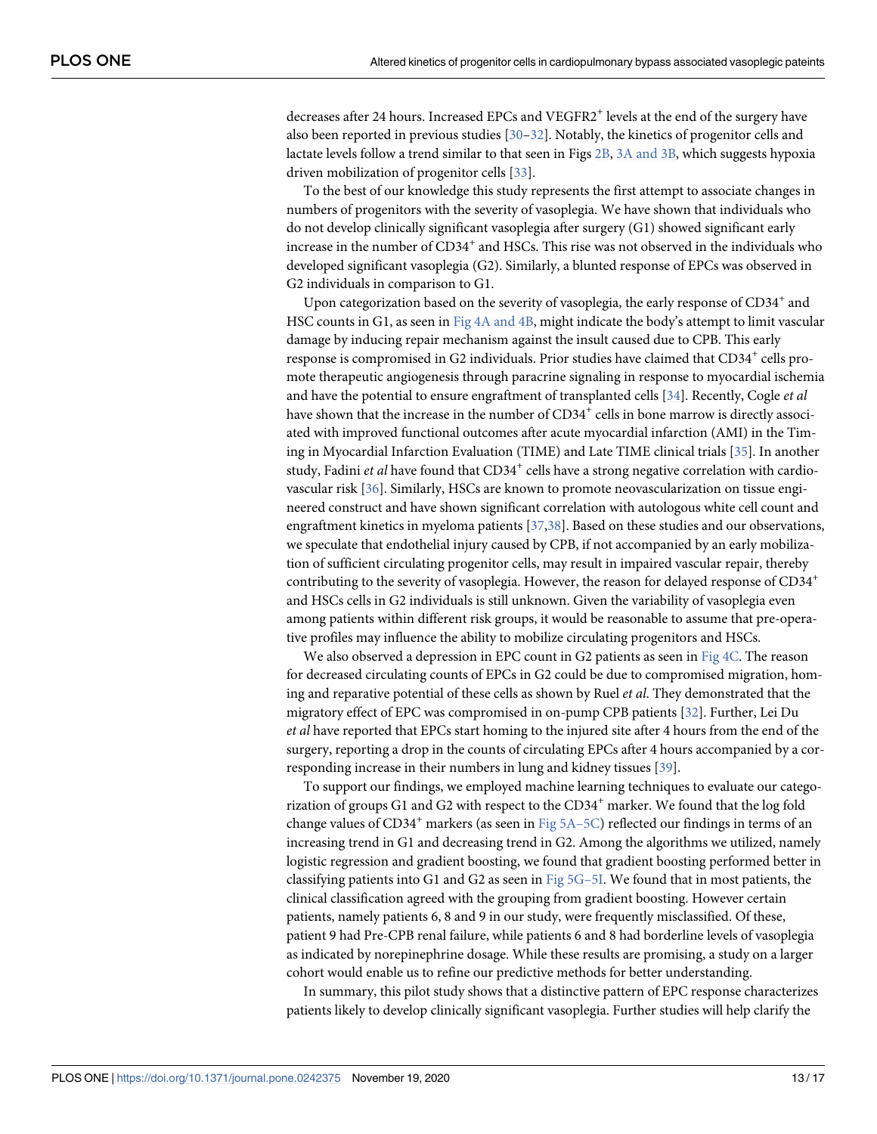<span id="page-12-0"></span>decreases after 24 hours. Increased EPCs and VEGFR2<sup>+</sup> levels at the end of the surgery have also been reported in previous studies  $[30-32]$ . Notably, the kinetics of progenitor cells and lactate levels follow a trend similar to that seen in Figs [2B,](#page-5-0) [3A and 3B](#page-8-0), which suggests hypoxia driven mobilization of progenitor cells [[33](#page-15-0)].

To the best of our knowledge this study represents the first attempt to associate changes in numbers of progenitors with the severity of vasoplegia. We have shown that individuals who do not develop clinically significant vasoplegia after surgery (G1) showed significant early increase in the number of  $CD34^+$  and HSCs. This rise was not observed in the individuals who developed significant vasoplegia (G2). Similarly, a blunted response of EPCs was observed in G2 individuals in comparison to G1.

Upon categorization based on the severity of vasoplegia, the early response of  $CD34^+$  and HSC counts in G1, as seen in [Fig 4A and 4B,](#page-9-0) might indicate the body's attempt to limit vascular damage by inducing repair mechanism against the insult caused due to CPB. This early response is compromised in G2 individuals. Prior studies have claimed that CD34<sup>+</sup> cells promote therapeutic angiogenesis through paracrine signaling in response to myocardial ischemia and have the potential to ensure engraftment of transplanted cells [[34](#page-15-0)]. Recently, Cogle *et al* have shown that the increase in the number of  $CD34^+$  cells in bone marrow is directly associated with improved functional outcomes after acute myocardial infarction (AMI) in the Timing in Myocardial Infarction Evaluation (TIME) and Late TIME clinical trials [[35](#page-15-0)]. In another study, Fadini et al have found that CD34<sup>+</sup> cells have a strong negative correlation with cardiovascular risk [\[36\]](#page-15-0). Similarly, HSCs are known to promote neovascularization on tissue engineered construct and have shown significant correlation with autologous white cell count and engraftment kinetics in myeloma patients [[37](#page-15-0)[,38\]](#page-16-0). Based on these studies and our observations, we speculate that endothelial injury caused by CPB, if not accompanied by an early mobilization of sufficient circulating progenitor cells, may result in impaired vascular repair, thereby contributing to the severity of vasoplegia. However, the reason for delayed response of CD34<sup>+</sup> and HSCs cells in G2 individuals is still unknown. Given the variability of vasoplegia even among patients within different risk groups, it would be reasonable to assume that pre-operative profiles may influence the ability to mobilize circulating progenitors and HSCs.

We also observed a depression in EPC count in G2 patients as seen in [Fig 4C.](#page-9-0) The reason for decreased circulating counts of EPCs in G2 could be due to compromised migration, homing and reparative potential of these cells as shown by Ruel et al. They demonstrated that the migratory effect of EPC was compromised in on-pump CPB patients [\[32\]](#page-15-0). Further, Lei Du et al have reported that EPCs start homing to the injured site after 4 hours from the end of the surgery, reporting a drop in the counts of circulating EPCs after 4 hours accompanied by a corresponding increase in their numbers in lung and kidney tissues [\[39\]](#page-16-0).

To support our findings, we employed machine learning techniques to evaluate our categorization of groups G1 and G2 with respect to the  $CD34<sup>+</sup>$  marker. We found that the log fold change values of  $CD34^+$  markers (as seen in [Fig 5A–5C\)](#page-10-0) reflected our findings in terms of an increasing trend in G1 and decreasing trend in G2. Among the algorithms we utilized, namely logistic regression and gradient boosting, we found that gradient boosting performed better in classifying patients into G1 and G2 as seen in Fig  $5G-5I$ . We found that in most patients, the clinical classification agreed with the grouping from gradient boosting. However certain patients, namely patients 6, 8 and 9 in our study, were frequently misclassified. Of these, patient 9 had Pre-CPB renal failure, while patients 6 and 8 had borderline levels of vasoplegia as indicated by norepinephrine dosage. While these results are promising, a study on a larger cohort would enable us to refine our predictive methods for better understanding.

In summary, this pilot study shows that a distinctive pattern of EPC response characterizes patients likely to develop clinically significant vasoplegia. Further studies will help clarify the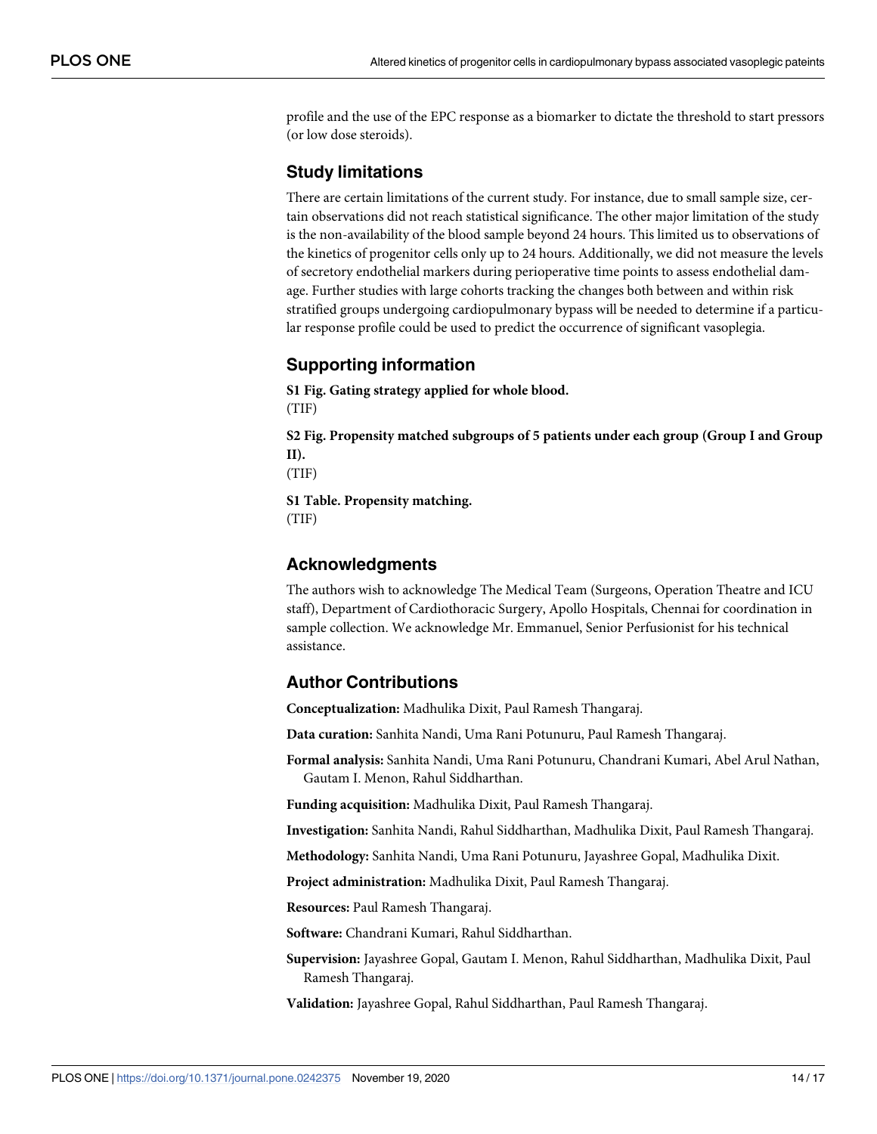<span id="page-13-0"></span>profile and the use of the EPC response as a biomarker to dictate the threshold to start pressors (or low dose steroids).

## **Study limitations**

There are certain limitations of the current study. For instance, due to small sample size, certain observations did not reach statistical significance. The other major limitation of the study is the non-availability of the blood sample beyond 24 hours. This limited us to observations of the kinetics of progenitor cells only up to 24 hours. Additionally, we did not measure the levels of secretory endothelial markers during perioperative time points to assess endothelial damage. Further studies with large cohorts tracking the changes both between and within risk stratified groups undergoing cardiopulmonary bypass will be needed to determine if a particular response profile could be used to predict the occurrence of significant vasoplegia.

## **Supporting information**

**[S1 Fig](http://www.plosone.org/article/fetchSingleRepresentation.action?uri=info:doi/10.1371/journal.pone.0242375.s001). Gating strategy applied for whole blood.** (TIF)

**[S2 Fig](http://www.plosone.org/article/fetchSingleRepresentation.action?uri=info:doi/10.1371/journal.pone.0242375.s002). Propensity matched subgroups of 5 patients under each group (Group I and Group II).**

(TIF)

**[S1 Table.](http://www.plosone.org/article/fetchSingleRepresentation.action?uri=info:doi/10.1371/journal.pone.0242375.s003) Propensity matching.** (TIF)

## **Acknowledgments**

The authors wish to acknowledge The Medical Team (Surgeons, Operation Theatre and ICU staff), Department of Cardiothoracic Surgery, Apollo Hospitals, Chennai for coordination in sample collection. We acknowledge Mr. Emmanuel, Senior Perfusionist for his technical assistance.

## **Author Contributions**

**Conceptualization:** Madhulika Dixit, Paul Ramesh Thangaraj.

**Data curation:** Sanhita Nandi, Uma Rani Potunuru, Paul Ramesh Thangaraj.

**Formal analysis:** Sanhita Nandi, Uma Rani Potunuru, Chandrani Kumari, Abel Arul Nathan, Gautam I. Menon, Rahul Siddharthan.

**Funding acquisition:** Madhulika Dixit, Paul Ramesh Thangaraj.

**Investigation:** Sanhita Nandi, Rahul Siddharthan, Madhulika Dixit, Paul Ramesh Thangaraj.

**Methodology:** Sanhita Nandi, Uma Rani Potunuru, Jayashree Gopal, Madhulika Dixit.

**Project administration:** Madhulika Dixit, Paul Ramesh Thangaraj.

**Resources:** Paul Ramesh Thangaraj.

**Software:** Chandrani Kumari, Rahul Siddharthan.

**Supervision:** Jayashree Gopal, Gautam I. Menon, Rahul Siddharthan, Madhulika Dixit, Paul Ramesh Thangaraj.

**Validation:** Jayashree Gopal, Rahul Siddharthan, Paul Ramesh Thangaraj.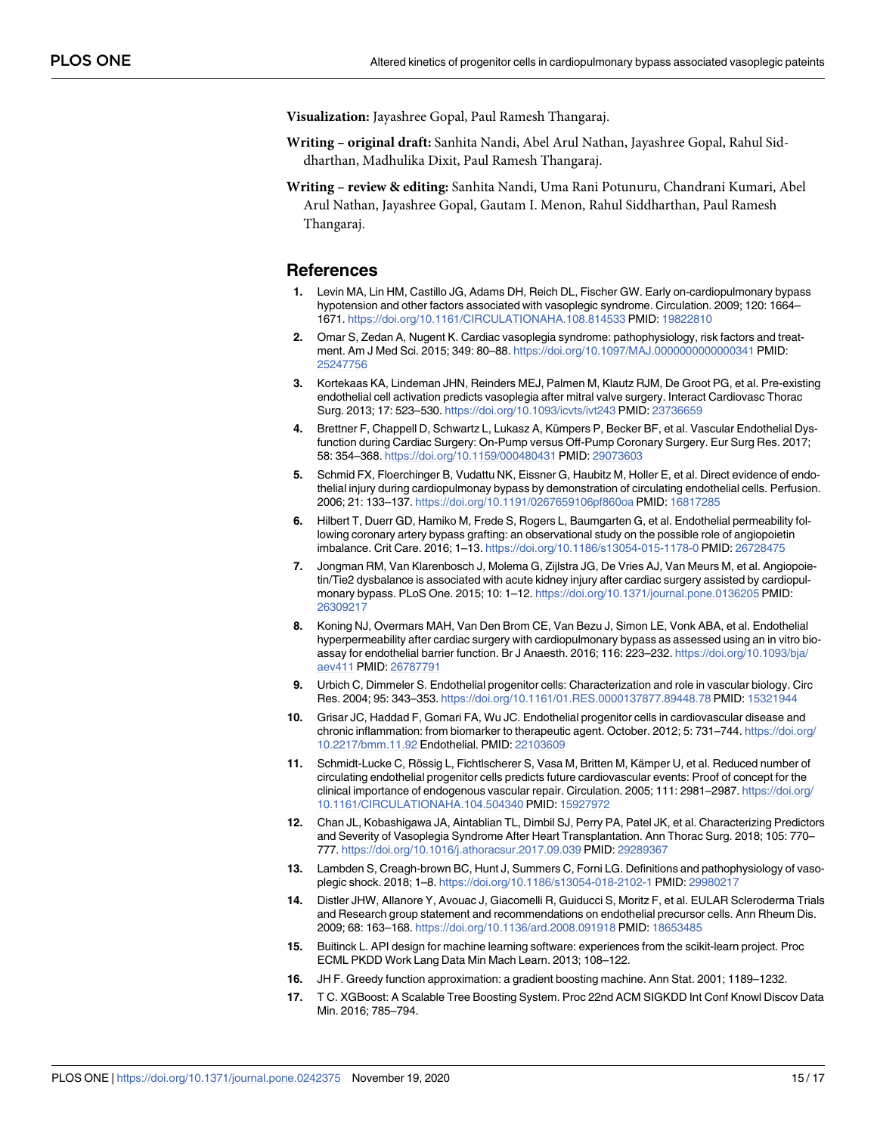<span id="page-14-0"></span>**Visualization:** Jayashree Gopal, Paul Ramesh Thangaraj.

- **Writing original draft:** Sanhita Nandi, Abel Arul Nathan, Jayashree Gopal, Rahul Siddharthan, Madhulika Dixit, Paul Ramesh Thangaraj.
- **Writing review & editing:** Sanhita Nandi, Uma Rani Potunuru, Chandrani Kumari, Abel Arul Nathan, Jayashree Gopal, Gautam I. Menon, Rahul Siddharthan, Paul Ramesh Thangaraj.

#### **References**

- **[1](#page-1-0).** Levin MA, Lin HM, Castillo JG, Adams DH, Reich DL, Fischer GW. Early on-cardiopulmonary bypass hypotension and other factors associated with vasoplegic syndrome. Circulation. 2009; 120: 1664– 1671. <https://doi.org/10.1161/CIRCULATIONAHA.108.814533> PMID: [19822810](http://www.ncbi.nlm.nih.gov/pubmed/19822810)
- **[2](#page-1-0).** Omar S, Zedan A, Nugent K. Cardiac vasoplegia syndrome: pathophysiology, risk factors and treatment. Am J Med Sci. 2015; 349: 80–88. <https://doi.org/10.1097/MAJ.0000000000000341> PMID: [25247756](http://www.ncbi.nlm.nih.gov/pubmed/25247756)
- **[3](#page-1-0).** Kortekaas KA, Lindeman JHN, Reinders MEJ, Palmen M, Klautz RJM, De Groot PG, et al. Pre-existing endothelial cell activation predicts vasoplegia after mitral valve surgery. Interact Cardiovasc Thorac Surg. 2013; 17: 523–530. <https://doi.org/10.1093/icvts/ivt243> PMID: [23736659](http://www.ncbi.nlm.nih.gov/pubmed/23736659)
- **[4](#page-1-0).** Brettner F, Chappell D, Schwartz L, Lukasz A, Kümpers P, Becker BF, et al. Vascular Endothelial Dysfunction during Cardiac Surgery: On-Pump versus Off-Pump Coronary Surgery. Eur Surg Res. 2017; 58: 354–368. <https://doi.org/10.1159/000480431> PMID: [29073603](http://www.ncbi.nlm.nih.gov/pubmed/29073603)
- **[5](#page-1-0).** Schmid FX, Floerchinger B, Vudattu NK, Eissner G, Haubitz M, Holler E, et al. Direct evidence of endothelial injury during cardiopulmonay bypass by demonstration of circulating endothelial cells. Perfusion. 2006; 21: 133–137. <https://doi.org/10.1191/0267659106pf860oa> PMID: [16817285](http://www.ncbi.nlm.nih.gov/pubmed/16817285)
- **[6](#page-1-0).** Hilbert T, Duerr GD, Hamiko M, Frede S, Rogers L, Baumgarten G, et al. Endothelial permeability following coronary artery bypass grafting: an observational study on the possible role of angiopoietin imbalance. Crit Care. 2016; 1–13. <https://doi.org/10.1186/s13054-015-1178-0> PMID: [26728475](http://www.ncbi.nlm.nih.gov/pubmed/26728475)
- **7.** Jongman RM, Van Klarenbosch J, Molema G, Zijlstra JG, De Vries AJ, Van Meurs M, et al. Angiopoietin/Tie2 dysbalance is associated with acute kidney injury after cardiac surgery assisted by cardiopulmonary bypass. PLoS One. 2015; 10: 1–12. <https://doi.org/10.1371/journal.pone.0136205> PMID: [26309217](http://www.ncbi.nlm.nih.gov/pubmed/26309217)
- **[8](#page-1-0).** Koning NJ, Overmars MAH, Van Den Brom CE, Van Bezu J, Simon LE, Vonk ABA, et al. Endothelial hyperpermeability after cardiac surgery with cardiopulmonary bypass as assessed using an in vitro bioassay for endothelial barrier function. Br J Anaesth. 2016; 116: 223–232. [https://doi.org/10.1093/bja/](https://doi.org/10.1093/bja/aev411) [aev411](https://doi.org/10.1093/bja/aev411) PMID: [26787791](http://www.ncbi.nlm.nih.gov/pubmed/26787791)
- **[9](#page-1-0).** Urbich C, Dimmeler S. Endothelial progenitor cells: Characterization and role in vascular biology. Circ Res. 2004; 95: 343–353. <https://doi.org/10.1161/01.RES.0000137877.89448.78> PMID: [15321944](http://www.ncbi.nlm.nih.gov/pubmed/15321944)
- **[10](#page-1-0).** Grisar JC, Haddad F, Gomari FA, Wu JC. Endothelial progenitor cells in cardiovascular disease and chronic inflammation: from biomarker to therapeutic agent. October. 2012; 5: 731–744. [https://doi.org/](https://doi.org/10.2217/bmm.11.92) [10.2217/bmm.11.92](https://doi.org/10.2217/bmm.11.92) Endothelial. PMID: [22103609](http://www.ncbi.nlm.nih.gov/pubmed/22103609)
- **[11](#page-1-0).** Schmidt-Lucke C, Rössig L, Fichtlscherer S, Vasa M, Britten M, Kämper U, et al. Reduced number of circulating endothelial progenitor cells predicts future cardiovascular events: Proof of concept for the clinical importance of endogenous vascular repair. Circulation. 2005; 111: 2981–2987. [https://doi.org/](https://doi.org/10.1161/CIRCULATIONAHA.104.504340) [10.1161/CIRCULATIONAHA.104.504340](https://doi.org/10.1161/CIRCULATIONAHA.104.504340) PMID: [15927972](http://www.ncbi.nlm.nih.gov/pubmed/15927972)
- **[12](#page-2-0).** Chan JL, Kobashigawa JA, Aintablian TL, Dimbil SJ, Perry PA, Patel JK, et al. Characterizing Predictors and Severity of Vasoplegia Syndrome After Heart Transplantation. Ann Thorac Surg. 2018; 105: 770– 777. <https://doi.org/10.1016/j.athoracsur.2017.09.039> PMID: [29289367](http://www.ncbi.nlm.nih.gov/pubmed/29289367)
- **[13](#page-2-0).** Lambden S, Creagh-brown BC, Hunt J, Summers C, Forni LG. Definitions and pathophysiology of vasoplegic shock. 2018; 1–8. <https://doi.org/10.1186/s13054-018-2102-1> PMID: [29980217](http://www.ncbi.nlm.nih.gov/pubmed/29980217)
- **[14](#page-2-0).** Distler JHW, Allanore Y, Avouac J, Giacomelli R, Guiducci S, Moritz F, et al. EULAR Scleroderma Trials and Research group statement and recommendations on endothelial precursor cells. Ann Rheum Dis. 2009; 68: 163–168. <https://doi.org/10.1136/ard.2008.091918> PMID: [18653485](http://www.ncbi.nlm.nih.gov/pubmed/18653485)
- **[15](#page-4-0).** Buitinck L. API design for machine learning software: experiences from the scikit-learn project. Proc ECML PKDD Work Lang Data Min Mach Learn. 2013; 108–122.
- **[16](#page-4-0).** JH F. Greedy function approximation: a gradient boosting machine. Ann Stat. 2001; 1189–1232.
- **[17](#page-4-0).** T C. XGBoost: A Scalable Tree Boosting System. Proc 22nd ACM SIGKDD Int Conf Knowl Discov Data Min. 2016; 785–794.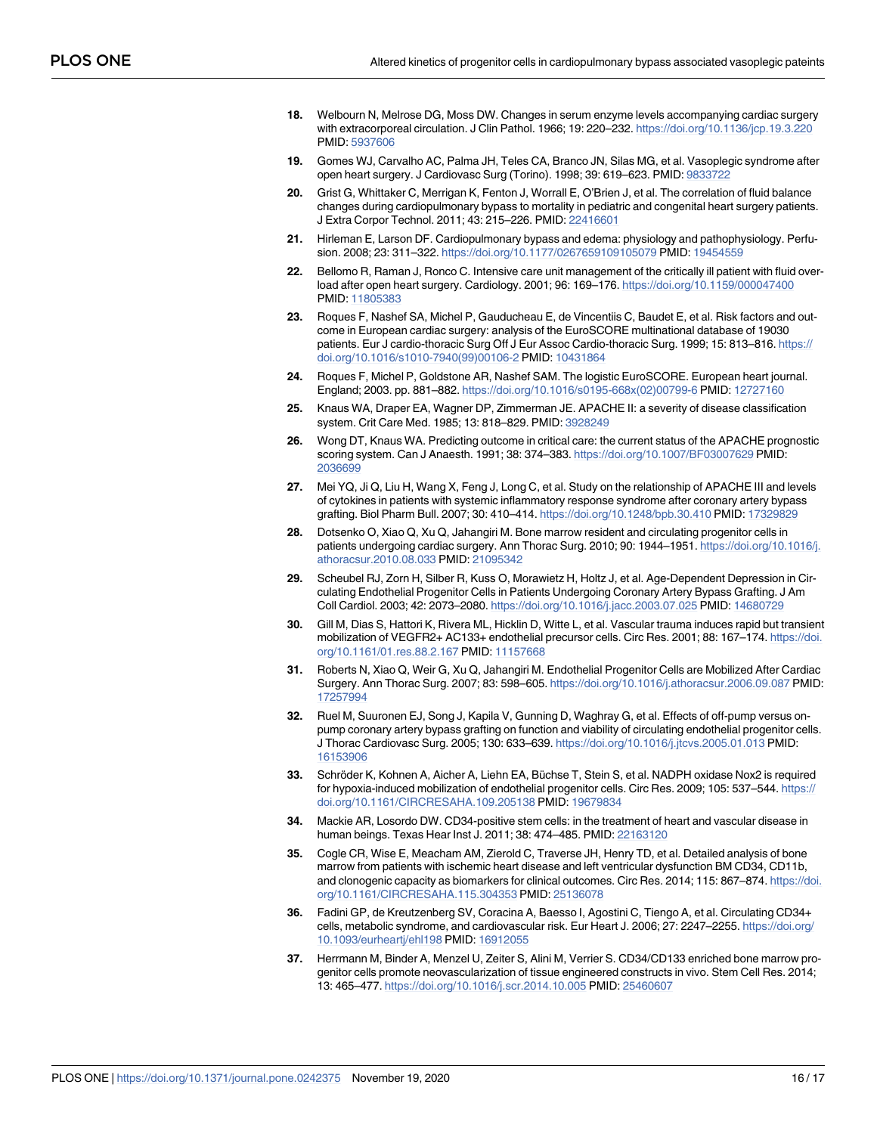- <span id="page-15-0"></span>**[18](#page-4-0).** Welbourn N, Melrose DG, Moss DW. Changes in serum enzyme levels accompanying cardiac surgery with extracorporeal circulation. J Clin Pathol. 1966; 19: 220–232. <https://doi.org/10.1136/jcp.19.3.220> PMID: [5937606](http://www.ncbi.nlm.nih.gov/pubmed/5937606)
- **[19](#page-5-0).** Gomes WJ, Carvalho AC, Palma JH, Teles CA, Branco JN, Silas MG, et al. Vasoplegic syndrome after open heart surgery. J Cardiovasc Surg (Torino). 1998; 39: 619–623. PMID: [9833722](http://www.ncbi.nlm.nih.gov/pubmed/9833722)
- **[20](#page-5-0).** Grist G, Whittaker C, Merrigan K, Fenton J, Worrall E, O'Brien J, et al. The correlation of fluid balance changes during cardiopulmonary bypass to mortality in pediatric and congenital heart surgery patients. J Extra Corpor Technol. 2011; 43: 215–226. PMID: [22416601](http://www.ncbi.nlm.nih.gov/pubmed/22416601)
- **[21](#page-5-0).** Hirleman E, Larson DF. Cardiopulmonary bypass and edema: physiology and pathophysiology. Perfusion. 2008; 23: 311–322. <https://doi.org/10.1177/0267659109105079> PMID: [19454559](http://www.ncbi.nlm.nih.gov/pubmed/19454559)
- **[22](#page-5-0).** Bellomo R, Raman J, Ronco C. Intensive care unit management of the critically ill patient with fluid overload after open heart surgery. Cardiology. 2001; 96: 169–176. <https://doi.org/10.1159/000047400> PMID: [11805383](http://www.ncbi.nlm.nih.gov/pubmed/11805383)
- **[23](#page-5-0).** Roques F, Nashef SA, Michel P, Gauducheau E, de Vincentiis C, Baudet E, et al. Risk factors and outcome in European cardiac surgery: analysis of the EuroSCORE multinational database of 19030 patients. Eur J cardio-thoracic Surg Off J Eur Assoc Cardio-thoracic Surg. 1999; 15: 813–816. [https://](https://doi.org/10.1016/s1010-7940%2899%2900106-2) [doi.org/10.1016/s1010-7940\(99\)00106-2](https://doi.org/10.1016/s1010-7940%2899%2900106-2) PMID: [10431864](http://www.ncbi.nlm.nih.gov/pubmed/10431864)
- **[24](#page-5-0).** Roques F, Michel P, Goldstone AR, Nashef SAM. The logistic EuroSCORE. European heart journal. England; 2003. pp. 881–882. [https://doi.org/10.1016/s0195-668x\(02\)00799-6](https://doi.org/10.1016/s0195-668x%2802%2900799-6) PMID: [12727160](http://www.ncbi.nlm.nih.gov/pubmed/12727160)
- **[25](#page-6-0).** Knaus WA, Draper EA, Wagner DP, Zimmerman JE. APACHE II: a severity of disease classification system. Crit Care Med. 1985; 13: 818–829. PMID: [3928249](http://www.ncbi.nlm.nih.gov/pubmed/3928249)
- **26.** Wong DT, Knaus WA. Predicting outcome in critical care: the current status of the APACHE prognostic scoring system. Can J Anaesth. 1991; 38: 374–383. <https://doi.org/10.1007/BF03007629> PMID: [2036699](http://www.ncbi.nlm.nih.gov/pubmed/2036699)
- **[27](#page-6-0).** Mei YQ, Ji Q, Liu H, Wang X, Feng J, Long C, et al. Study on the relationship of APACHE III and levels of cytokines in patients with systemic inflammatory response syndrome after coronary artery bypass grafting. Biol Pharm Bull. 2007; 30: 410–414. <https://doi.org/10.1248/bpb.30.410> PMID: [17329829](http://www.ncbi.nlm.nih.gov/pubmed/17329829)
- **[28](#page-11-0).** Dotsenko O, Xiao Q, Xu Q, Jahangiri M. Bone marrow resident and circulating progenitor cells in patients undergoing cardiac surgery. Ann Thorac Surg. 2010; 90: 1944–1951. [https://doi.org/10.1016/j.](https://doi.org/10.1016/j.athoracsur.2010.08.033) [athoracsur.2010.08.033](https://doi.org/10.1016/j.athoracsur.2010.08.033) PMID: [21095342](http://www.ncbi.nlm.nih.gov/pubmed/21095342)
- **[29](#page-11-0).** Scheubel RJ, Zorn H, Silber R, Kuss O, Morawietz H, Holtz J, et al. Age-Dependent Depression in Circulating Endothelial Progenitor Cells in Patients Undergoing Coronary Artery Bypass Grafting. J Am Coll Cardiol. 2003; 42: 2073–2080. <https://doi.org/10.1016/j.jacc.2003.07.025> PMID: [14680729](http://www.ncbi.nlm.nih.gov/pubmed/14680729)
- **[30](#page-12-0).** Gill M, Dias S, Hattori K, Rivera ML, Hicklin D, Witte L, et al. Vascular trauma induces rapid but transient mobilization of VEGFR2+ AC133+ endothelial precursor cells. Circ Res. 2001; 88: 167–174. [https://doi.](https://doi.org/10.1161/01.res.88.2.167) [org/10.1161/01.res.88.2.167](https://doi.org/10.1161/01.res.88.2.167) PMID: [11157668](http://www.ncbi.nlm.nih.gov/pubmed/11157668)
- **31.** Roberts N, Xiao Q, Weir G, Xu Q, Jahangiri M. Endothelial Progenitor Cells are Mobilized After Cardiac Surgery. Ann Thorac Surg. 2007; 83: 598–605. <https://doi.org/10.1016/j.athoracsur.2006.09.087> PMID: [17257994](http://www.ncbi.nlm.nih.gov/pubmed/17257994)
- **[32](#page-12-0).** Ruel M, Suuronen EJ, Song J, Kapila V, Gunning D, Waghray G, et al. Effects of off-pump versus onpump coronary artery bypass grafting on function and viability of circulating endothelial progenitor cells. J Thorac Cardiovasc Surg. 2005; 130: 633–639. <https://doi.org/10.1016/j.jtcvs.2005.01.013> PMID: [16153906](http://www.ncbi.nlm.nih.gov/pubmed/16153906)
- **[33](#page-12-0).** Schröder K, Kohnen A, Aicher A, Liehn EA, Büchse T, Stein S, et al. NADPH oxidase Nox2 is required for hypoxia-induced mobilization of endothelial progenitor cells. Circ Res. 2009; 105: 537–544. [https://](https://doi.org/10.1161/CIRCRESAHA.109.205138) [doi.org/10.1161/CIRCRESAHA.109.205138](https://doi.org/10.1161/CIRCRESAHA.109.205138) PMID: [19679834](http://www.ncbi.nlm.nih.gov/pubmed/19679834)
- **[34](#page-12-0).** Mackie AR, Losordo DW. CD34-positive stem cells: in the treatment of heart and vascular disease in human beings. Texas Hear Inst J. 2011; 38: 474–485. PMID: [22163120](http://www.ncbi.nlm.nih.gov/pubmed/22163120)
- **[35](#page-12-0).** Cogle CR, Wise E, Meacham AM, Zierold C, Traverse JH, Henry TD, et al. Detailed analysis of bone marrow from patients with ischemic heart disease and left ventricular dysfunction BM CD34, CD11b, and clonogenic capacity as biomarkers for clinical outcomes. Circ Res. 2014; 115: 867–874. [https://doi.](https://doi.org/10.1161/CIRCRESAHA.115.304353) [org/10.1161/CIRCRESAHA.115.304353](https://doi.org/10.1161/CIRCRESAHA.115.304353) PMID: [25136078](http://www.ncbi.nlm.nih.gov/pubmed/25136078)
- **[36](#page-12-0).** Fadini GP, de Kreutzenberg SV, Coracina A, Baesso I, Agostini C, Tiengo A, et al. Circulating CD34+ cells, metabolic syndrome, and cardiovascular risk. Eur Heart J. 2006; 27: 2247–2255. [https://doi.org/](https://doi.org/10.1093/eurheartj/ehl198) [10.1093/eurheartj/ehl198](https://doi.org/10.1093/eurheartj/ehl198) PMID: [16912055](http://www.ncbi.nlm.nih.gov/pubmed/16912055)
- **[37](#page-12-0).** Herrmann M, Binder A, Menzel U, Zeiter S, Alini M, Verrier S. CD34/CD133 enriched bone marrow progenitor cells promote neovascularization of tissue engineered constructs in vivo. Stem Cell Res. 2014; 13: 465–477. <https://doi.org/10.1016/j.scr.2014.10.005> PMID: [25460607](http://www.ncbi.nlm.nih.gov/pubmed/25460607)